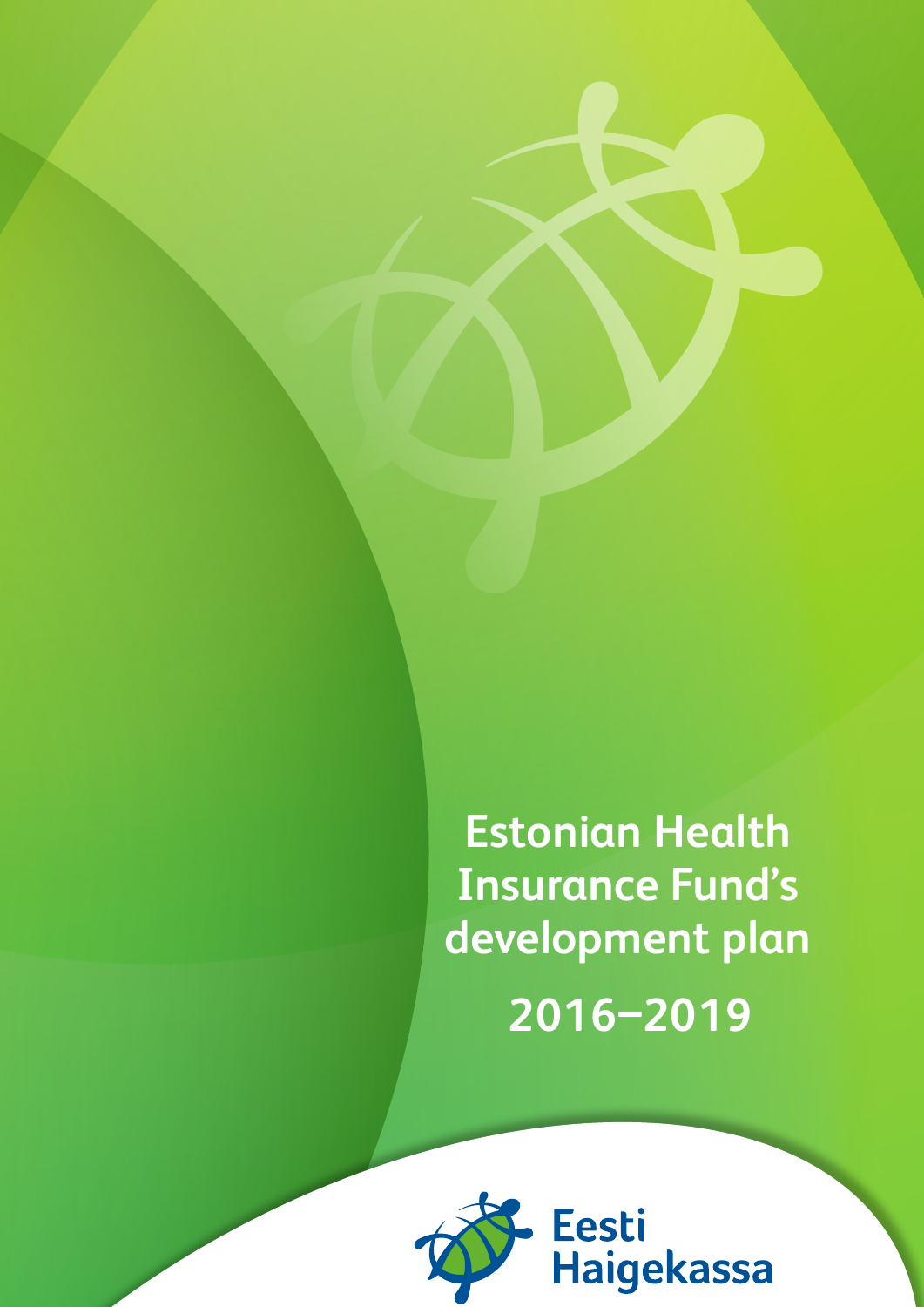**Estonian Health Insurance Fund's development plan 2016–2019**

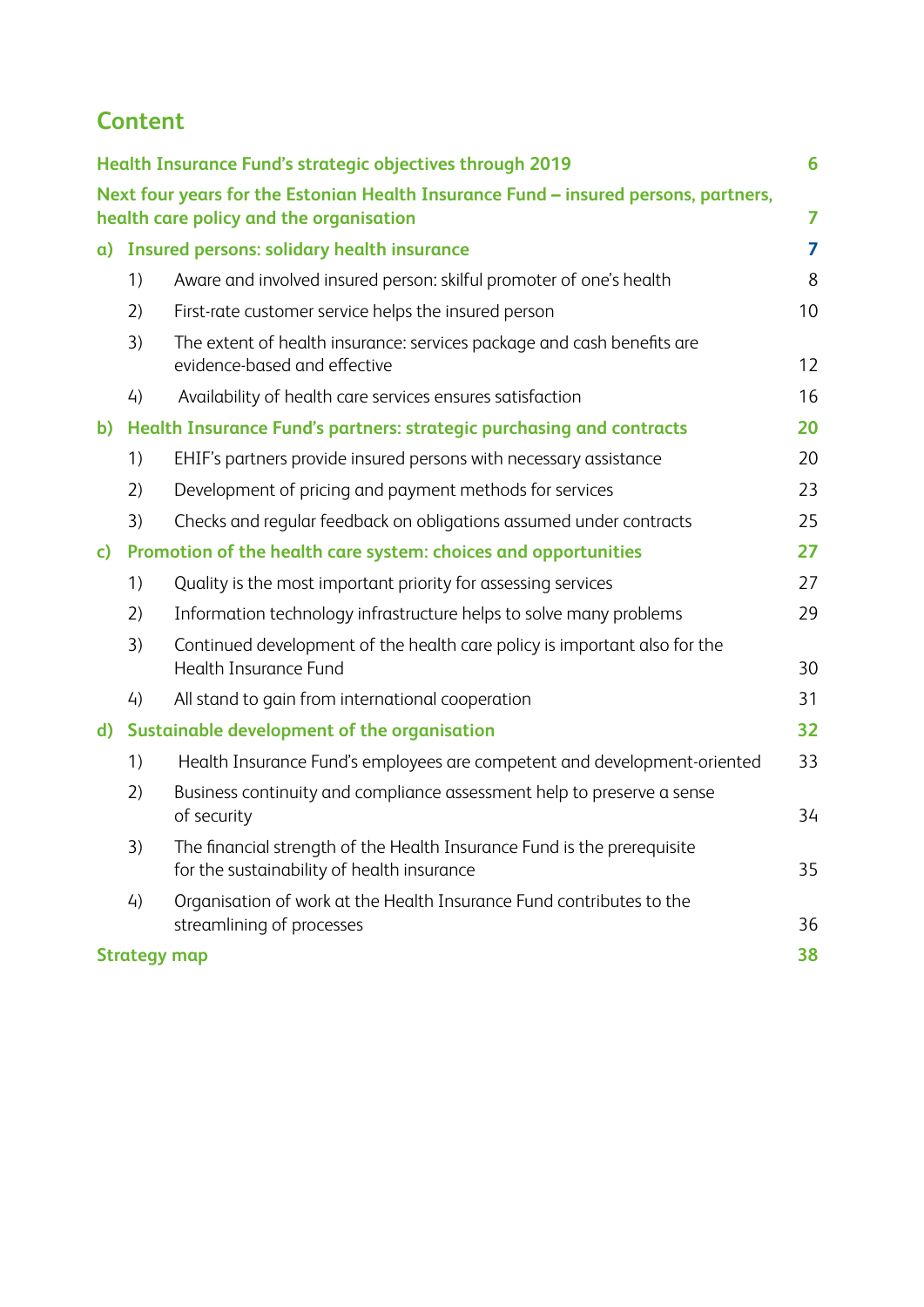# **Content**

|              |                                                                      | Health Insurance Fund's strategic objectives through 2019                                                                      | 6              |
|--------------|----------------------------------------------------------------------|--------------------------------------------------------------------------------------------------------------------------------|----------------|
|              |                                                                      | Next four years for the Estonian Health Insurance Fund - insured persons, partners,<br>health care policy and the organisation | $\overline{7}$ |
| a)           | <b>Insured persons: solidary health insurance</b>                    |                                                                                                                                | $\overline{7}$ |
|              | 1)                                                                   | Aware and involved insured person: skilful promoter of one's health                                                            | 8              |
|              | 2)                                                                   | First-rate customer service helps the insured person                                                                           | 10             |
|              | 3)                                                                   | The extent of health insurance: services package and cash benefits are<br>evidence-based and effective                         | 12             |
|              | 4)                                                                   | Availability of health care services ensures satisfaction                                                                      | 16             |
| b)           | Health Insurance Fund's partners: strategic purchasing and contracts |                                                                                                                                | 20             |
|              | 1)                                                                   | EHIF's partners provide insured persons with necessary assistance                                                              | 20             |
|              | 2)                                                                   | Development of pricing and payment methods for services                                                                        | 23             |
|              | 3)                                                                   | Checks and regular feedback on obligations assumed under contracts                                                             | 25             |
| $\mathsf{c}$ | Promotion of the health care system: choices and opportunities       |                                                                                                                                | 27             |
|              | 1)                                                                   | Quality is the most important priority for assessing services                                                                  | 27             |
|              | 2)                                                                   | Information technology infrastructure helps to solve many problems                                                             | 29             |
|              | 3)                                                                   | Continued development of the health care policy is important also for the<br>Health Insurance Fund                             | 30             |
|              | 4)                                                                   | All stand to gain from international cooperation                                                                               | 31             |
| $\mathbf{d}$ | Sustainable development of the organisation                          |                                                                                                                                | 32             |
|              | 1)                                                                   | Health Insurance Fund's employees are competent and development-oriented                                                       | 33             |
|              | 2)                                                                   | Business continuity and compliance assessment help to preserve a sense<br>of security                                          | 34             |
|              | 3)                                                                   | The financial strength of the Health Insurance Fund is the prerequisite<br>for the sustainability of health insurance          | 35             |
|              | 4)                                                                   | Organisation of work at the Health Insurance Fund contributes to the<br>streamlining of processes                              | 36             |
|              | <b>Strategy map</b>                                                  |                                                                                                                                |                |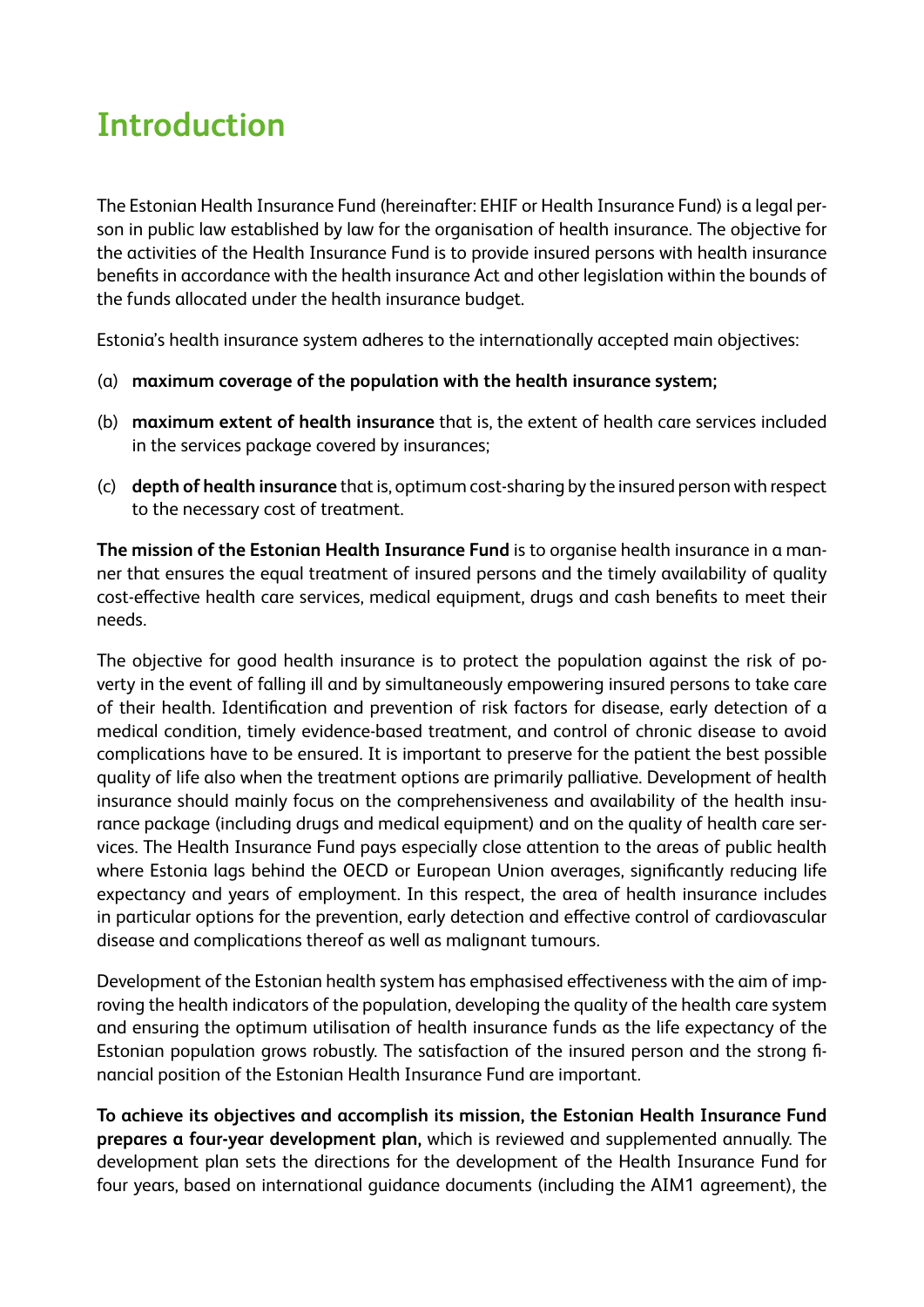# **Introduction**

The Estonian Health Insurance Fund (hereinafter: EHIF or Health Insurance Fund) is a legal person in public law established by law for the organisation of health insurance. The objective for the activities of the Health Insurance Fund is to provide insured persons with health insurance benefits in accordance with the health insurance Act and other legislation within the bounds of the funds allocated under the health insurance budget.

Estonia's health insurance system adheres to the internationally accepted main objectives:

- (a) **maximum coverage of the population with the health insurance system;**
- (b) **maximum extent of health insurance** that is, the extent of health care services included in the services package covered by insurances;
- (c) **depth of health insurance** that is, optimum cost-sharing by the insured person with respect to the necessary cost of treatment.

**The mission of the Estonian Health Insurance Fund** is to organise health insurance in a manner that ensures the equal treatment of insured persons and the timely availability of quality cost-effective health care services, medical equipment, drugs and cash benefits to meet their needs.

The objective for good health insurance is to protect the population against the risk of poverty in the event of falling ill and by simultaneously empowering insured persons to take care of their health. Identification and prevention of risk factors for disease, early detection of a medical condition, timely evidence-based treatment, and control of chronic disease to avoid complications have to be ensured. It is important to preserve for the patient the best possible quality of life also when the treatment options are primarily palliative. Development of health insurance should mainly focus on the comprehensiveness and availability of the health insurance package (including drugs and medical equipment) and on the quality of health care services. The Health Insurance Fund pays especially close attention to the areas of public health where Estonia lags behind the OECD or European Union averages, significantly reducing life expectancy and years of employment. In this respect, the area of health insurance includes in particular options for the prevention, early detection and effective control of cardiovascular disease and complications thereof as well as malignant tumours.

Development of the Estonian health system has emphasised effectiveness with the aim of improving the health indicators of the population, developing the quality of the health care system and ensuring the optimum utilisation of health insurance funds as the life expectancy of the Estonian population grows robustly. The satisfaction of the insured person and the strong financial position of the Estonian Health Insurance Fund are important.

**To achieve its objectives and accomplish its mission, the Estonian Health Insurance Fund prepares a four-year development plan,** which is reviewed and supplemented annually. The development plan sets the directions for the development of the Health Insurance Fund for four years, based on international guidance documents (including the AIM1 agreement), the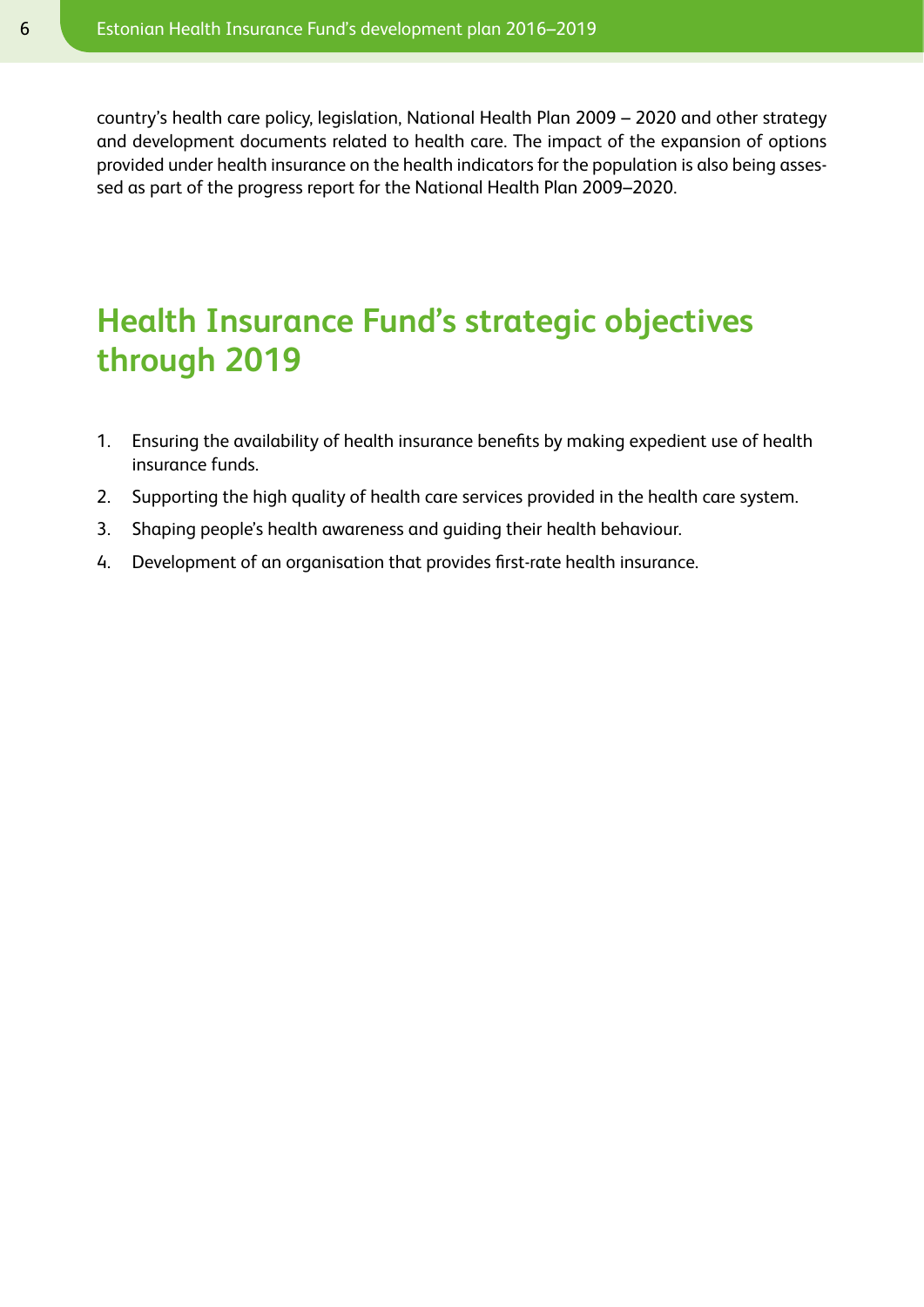country's health care policy, legislation, National Health Plan 2009 – 2020 and other strategy and development documents related to health care. The impact of the expansion of options provided under health insurance on the health indicators for the population is also being assessed as part of the progress report for the National Health Plan 2009–2020.

# **Health Insurance Fund's strategic objectives through 2019**

- 1. Ensuring the availability of health insurance benefits by making expedient use of health insurance funds.
- 2. Supporting the high quality of health care services provided in the health care system.
- 3. Shaping people's health awareness and guiding their health behaviour.
- 4. Development of an organisation that provides first-rate health insurance.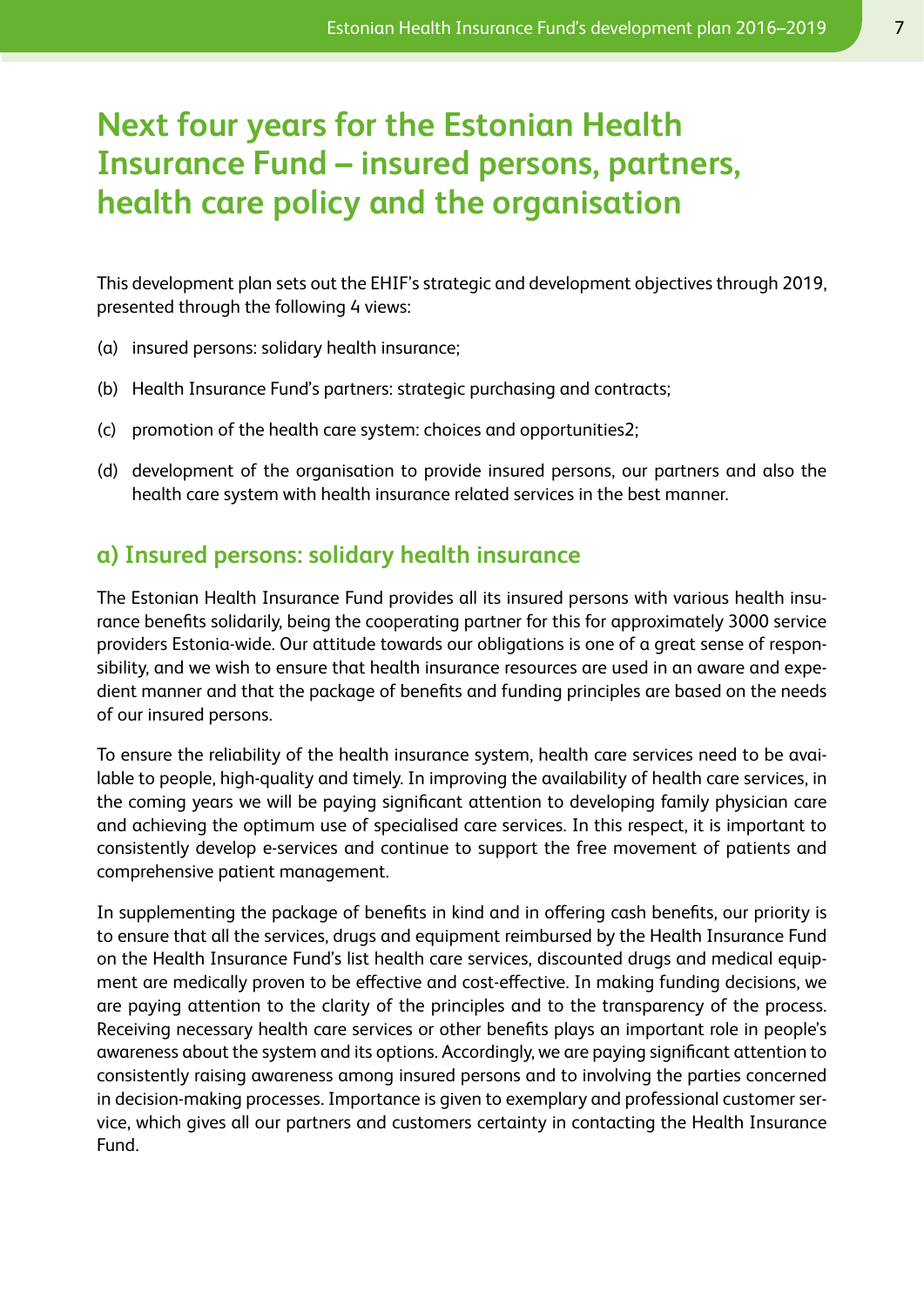# **Next four years for the Estonian Health Insurance Fund – insured persons, partners, health care policy and the organisation**

This development plan sets out the EHIF's strategic and development objectives through 2019, presented through the following 4 views:

- (a) insured persons: solidary health insurance;
- (b) Health Insurance Fund's partners: strategic purchasing and contracts;
- (c) promotion of the health care system: choices and opportunities2;
- (d) development of the organisation to provide insured persons, our partners and also the health care system with health insurance related services in the best manner.

# **a) Insured persons: solidary health insurance**

The Estonian Health Insurance Fund provides all its insured persons with various health insurance benefits solidarily, being the cooperating partner for this for approximately 3000 service providers Estonia-wide. Our attitude towards our obligations is one of a great sense of responsibility, and we wish to ensure that health insurance resources are used in an aware and expedient manner and that the package of benefits and funding principles are based on the needs of our insured persons.

To ensure the reliability of the health insurance system, health care services need to be available to people, high-quality and timely. In improving the availability of health care services, in the coming years we will be paying significant attention to developing family physician care and achieving the optimum use of specialised care services. In this respect, it is important to consistently develop e-services and continue to support the free movement of patients and comprehensive patient management.

In supplementing the package of benefits in kind and in offering cash benefits, our priority is to ensure that all the services, drugs and equipment reimbursed by the Health Insurance Fund on the Health Insurance Fund's list health care services, discounted drugs and medical equipment are medically proven to be effective and cost-effective. In making funding decisions, we are paying attention to the clarity of the principles and to the transparency of the process. Receiving necessary health care services or other benefits plays an important role in people's awareness about the system and its options. Accordingly, we are paying significant attention to consistently raising awareness among insured persons and to involving the parties concerned in decision-making processes. Importance is given to exemplary and professional customer service, which gives all our partners and customers certainty in contacting the Health Insurance Fund.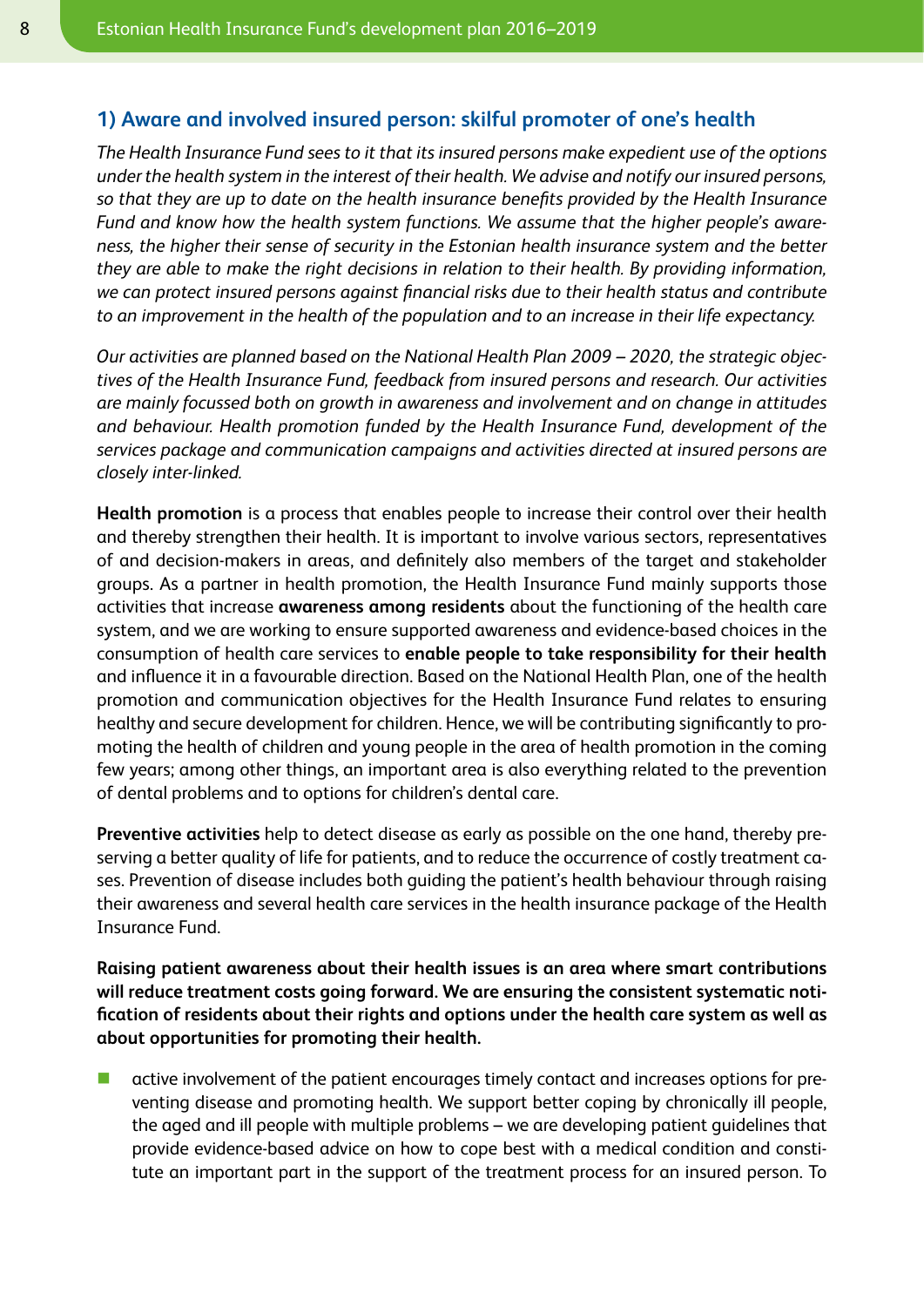### **1) Aware and involved insured person: skilful promoter of one's health**

*The Health Insurance Fund sees to it that its insured persons make expedient use of the options under the health system in the interest of their health. We advise and notify our insured persons, so that they are up to date on the health insurance benefits provided by the Health Insurance Fund and know how the health system functions. We assume that the higher people's awareness, the higher their sense of security in the Estonian health insurance system and the better they are able to make the right decisions in relation to their health. By providing information, we can protect insured persons against financial risks due to their health status and contribute to an improvement in the health of the population and to an increase in their life expectancy.*

*Our activities are planned based on the National Health Plan 2009 – 2020, the strategic objectives of the Health Insurance Fund, feedback from insured persons and research. Our activities are mainly focussed both on growth in awareness and involvement and on change in attitudes and behaviour. Health promotion funded by the Health Insurance Fund, development of the services package and communication campaigns and activities directed at insured persons are closely inter-linked.*

**Health promotion** is a process that enables people to increase their control over their health and thereby strengthen their health. It is important to involve various sectors, representatives of and decision-makers in areas, and definitely also members of the target and stakeholder groups. As a partner in health promotion, the Health Insurance Fund mainly supports those activities that increase **awareness among residents** about the functioning of the health care system, and we are working to ensure supported awareness and evidence-based choices in the consumption of health care services to **enable people to take responsibility for their health**  and influence it in a favourable direction. Based on the National Health Plan, one of the health promotion and communication objectives for the Health Insurance Fund relates to ensuring healthy and secure development for children. Hence, we will be contributing significantly to promoting the health of children and young people in the area of health promotion in the coming few years; among other things, an important area is also everything related to the prevention of dental problems and to options for children's dental care.

**Preventive activities** help to detect disease as early as possible on the one hand, thereby preserving a better quality of life for patients, and to reduce the occurrence of costly treatment cases. Prevention of disease includes both guiding the patient's health behaviour through raising their awareness and several health care services in the health insurance package of the Health Insurance Fund.

**Raising patient awareness about their health issues is an area where smart contributions will reduce treatment costs going forward. We are ensuring the consistent systematic notification of residents about their rights and options under the health care system as well as about opportunities for promoting their health.**

 $\blacksquare$  active involvement of the patient encourages timely contact and increases options for preventing disease and promoting health. We support better coping by chronically ill people, the aged and ill people with multiple problems – we are developing patient guidelines that provide evidence-based advice on how to cope best with a medical condition and constitute an important part in the support of the treatment process for an insured person. To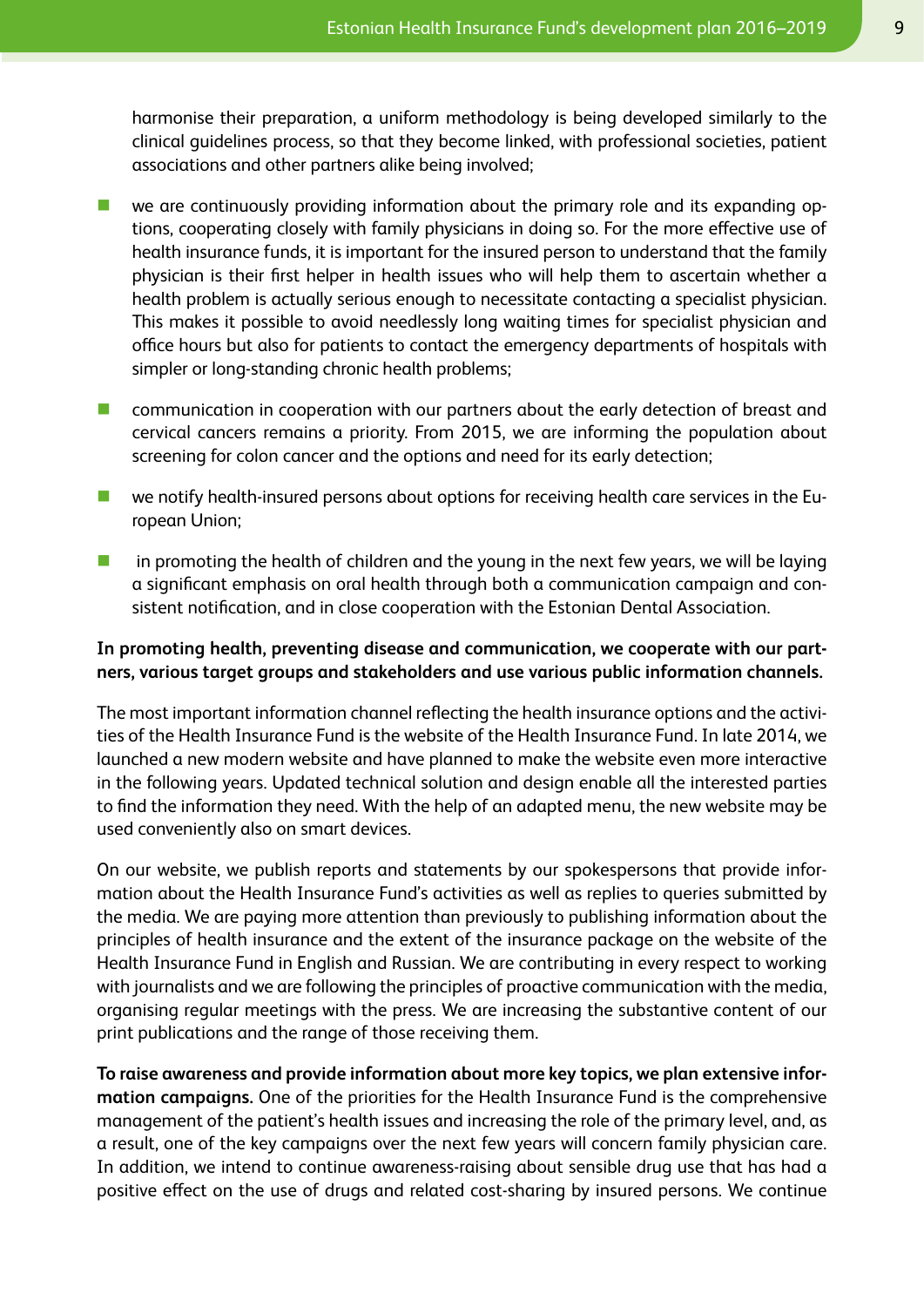harmonise their preparation, a uniform methodology is being developed similarly to the clinical guidelines process, so that they become linked, with professional societies, patient associations and other partners alike being involved;

- $\blacksquare$  we are continuously providing information about the primary role and its expanding options, cooperating closely with family physicians in doing so. For the more effective use of health insurance funds, it is important for the insured person to understand that the family physician is their first helper in health issues who will help them to ascertain whether a health problem is actually serious enough to necessitate contacting a specialist physician. This makes it possible to avoid needlessly long waiting times for specialist physician and office hours but also for patients to contact the emergency departments of hospitals with simpler or long-standing chronic health problems;
- $\blacksquare$  communication in cooperation with our partners about the early detection of breast and cervical cancers remains a priority. From 2015, we are informing the population about screening for colon cancer and the options and need for its early detection;
- $\blacksquare$  we notify health-insured persons about options for receiving health care services in the European Union;
- $\blacksquare$  in promoting the health of children and the young in the next few years, we will be laying a significant emphasis on oral health through both a communication campaign and consistent notification, and in close cooperation with the Estonian Dental Association.

### **In promoting health, preventing disease and communication, we cooperate with our partners, various target groups and stakeholders and use various public information channels.**

The most important information channel reflecting the health insurance options and the activities of the Health Insurance Fund is the website of the Health Insurance Fund. In late 2014, we launched a new modern website and have planned to make the website even more interactive in the following years. Updated technical solution and design enable all the interested parties to find the information they need. With the help of an adapted menu, the new website may be used conveniently also on smart devices.

On our website, we publish reports and statements by our spokespersons that provide information about the Health Insurance Fund's activities as well as replies to queries submitted by the media. We are paying more attention than previously to publishing information about the principles of health insurance and the extent of the insurance package on the website of the Health Insurance Fund in English and Russian. We are contributing in every respect to working with journalists and we are following the principles of proactive communication with the media, organising regular meetings with the press. We are increasing the substantive content of our print publications and the range of those receiving them.

**To raise awareness and provide information about more key topics, we plan extensive information campaigns.** One of the priorities for the Health Insurance Fund is the comprehensive management of the patient's health issues and increasing the role of the primary level, and, as a result, one of the key campaigns over the next few years will concern family physician care. In addition, we intend to continue awareness-raising about sensible drug use that has had a positive effect on the use of drugs and related cost-sharing by insured persons. We continue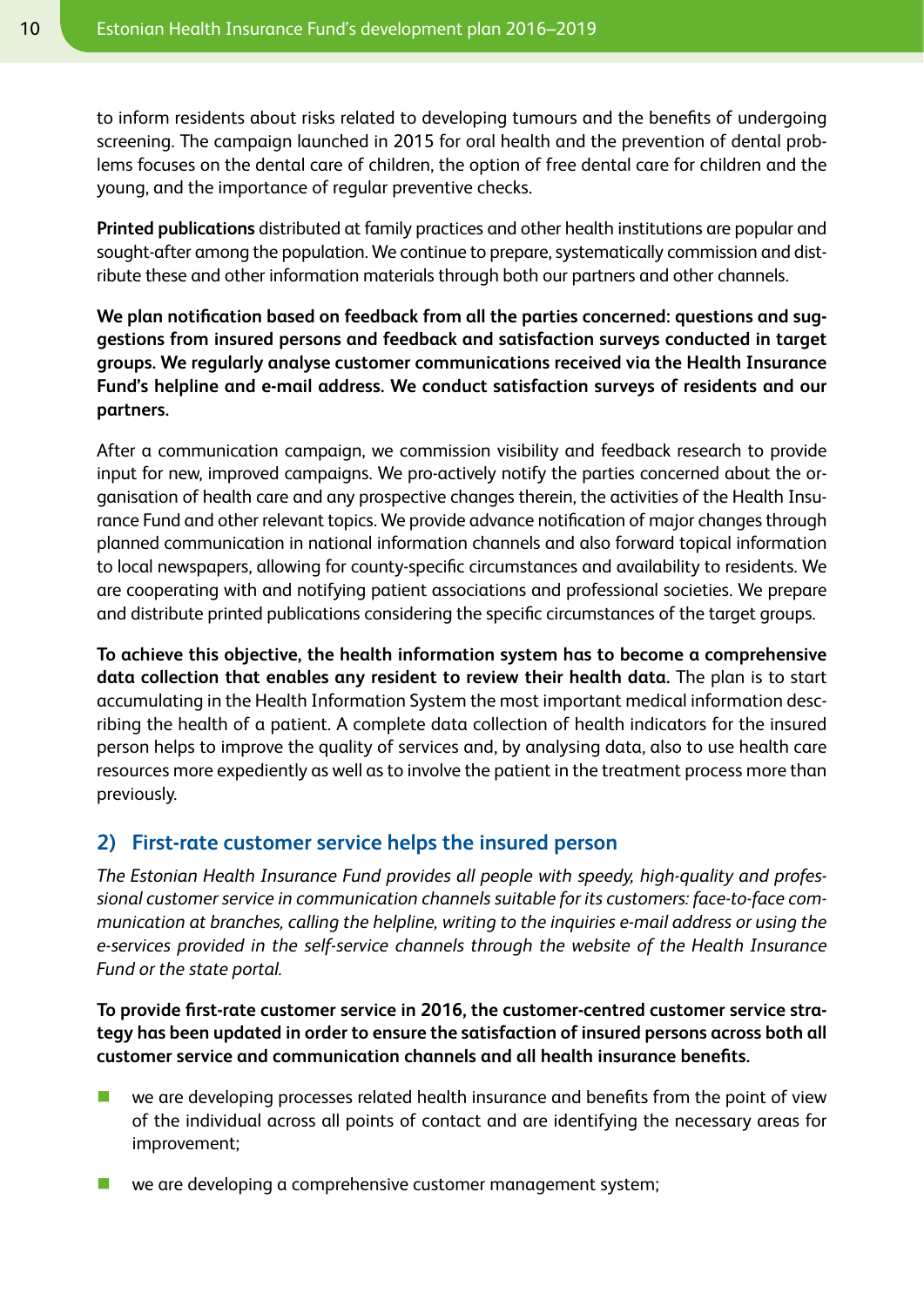to inform residents about risks related to developing tumours and the benefits of undergoing screening. The campaign launched in 2015 for oral health and the prevention of dental problems focuses on the dental care of children, the option of free dental care for children and the young, and the importance of regular preventive checks.

**Printed publications** distributed at family practices and other health institutions are popular and sought-after among the population. We continue to prepare, systematically commission and distribute these and other information materials through both our partners and other channels.

**We plan notification based on feedback from all the parties concerned: questions and suggestions from insured persons and feedback and satisfaction surveys conducted in target groups. We regularly analyse customer communications received via the Health Insurance Fund's helpline and e-mail address. We conduct satisfaction surveys of residents and our partners.**

After a communication campaign, we commission visibility and feedback research to provide input for new, improved campaigns. We pro-actively notify the parties concerned about the organisation of health care and any prospective changes therein, the activities of the Health Insurance Fund and other relevant topics. We provide advance notification of major changes through planned communication in national information channels and also forward topical information to local newspapers, allowing for county-specific circumstances and availability to residents. We are cooperating with and notifying patient associations and professional societies. We prepare and distribute printed publications considering the specific circumstances of the target groups.

**To achieve this objective, the health information system has to become a comprehensive data collection that enables any resident to review their health data.** The plan is to start accumulating in the Health Information System the most important medical information describing the health of a patient. A complete data collection of health indicators for the insured person helps to improve the quality of services and, by analysing data, also to use health care resources more expediently as well as to involve the patient in the treatment process more than previously.

# **2) First-rate customer service helps the insured person**

*The Estonian Health Insurance Fund provides all people with speedy, high-quality and professional customer service in communication channels suitable for its customers: face-to-face communication at branches, calling the helpline, writing to the inquiries e-mail address or using the e-services provided in the self-service channels through the website of the Health Insurance Fund or the state portal.*

**To provide first-rate customer service in 2016, the customer-centred customer service strategy has been updated in order to ensure the satisfaction of insured persons across both all customer service and communication channels and all health insurance benefits.**

- $\blacksquare$  we are developing processes related health insurance and benefits from the point of view of the individual across all points of contact and are identifying the necessary areas for improvement;
- $\blacksquare$  we are developing a comprehensive customer management system;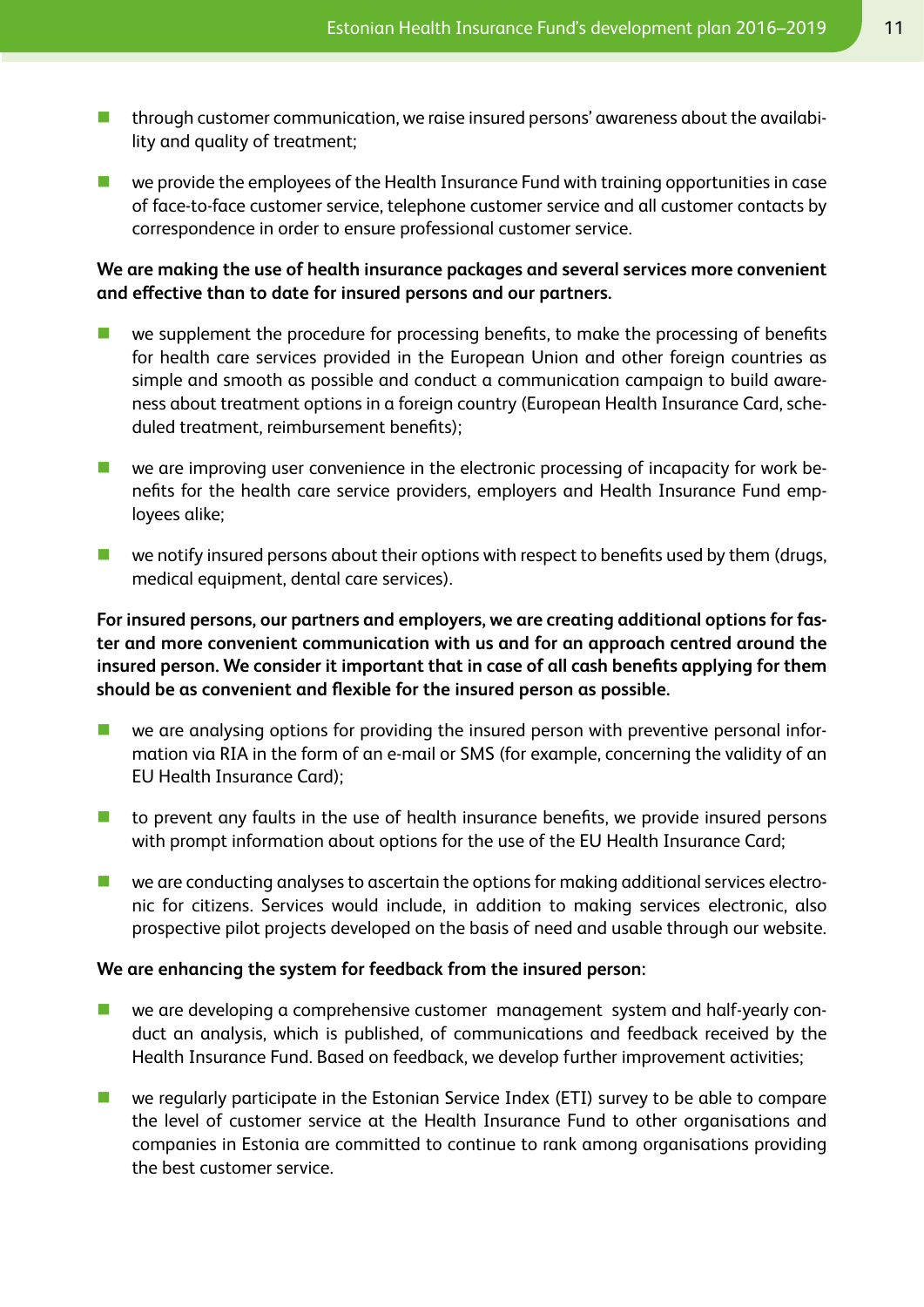- $\blacksquare$  through customer communication, we raise insured persons' awareness about the availability and quality of treatment;
- $\blacksquare$  we provide the employees of the Health Insurance Fund with training opportunities in case of face-to-face customer service, telephone customer service and all customer contacts by correspondence in order to ensure professional customer service.

### **We are making the use of health insurance packages and several services more convenient and effective than to date for insured persons and our partners.**

- $\blacksquare$  we supplement the procedure for processing benefits, to make the processing of benefits for health care services provided in the European Union and other foreign countries as simple and smooth as possible and conduct a communication campaign to build awareness about treatment options in a foreign country (European Health Insurance Card, scheduled treatment, reimbursement benefits);
- $\blacksquare$  we are improving user convenience in the electronic processing of incapacity for work benefits for the health care service providers, employers and Health Insurance Fund employees alike;
- $\blacksquare$  we notify insured persons about their options with respect to benefits used by them (drugs, medical equipment, dental care services).

**For insured persons, our partners and employers, we are creating additional options for faster and more convenient communication with us and for an approach centred around the insured person. We consider it important that in case of all cash benefits applying for them should be as convenient and flexible for the insured person as possible.**

- $\blacksquare$  we are analysing options for providing the insured person with preventive personal information via RIA in the form of an e-mail or SMS (for example, concerning the validity of an EU Health Insurance Card);
- $\blacksquare$  to prevent any faults in the use of health insurance benefits, we provide insured persons with prompt information about options for the use of the EU Health Insurance Card;
- $\blacksquare$  we are conducting analyses to ascertain the options for making additional services electronic for citizens. Services would include, in addition to making services electronic, also prospective pilot projects developed on the basis of need and usable through our website.

#### **We are enhancing the system for feedback from the insured person:**

- **n** we are developing a comprehensive customer management system and half-yearly conduct an analysis, which is published, of communications and feedback received by the Health Insurance Fund. Based on feedback, we develop further improvement activities;
- **n** we regularly participate in the Estonian Service Index (ETI) survey to be able to compare the level of customer service at the Health Insurance Fund to other organisations and companies in Estonia are committed to continue to rank among organisations providing the best customer service.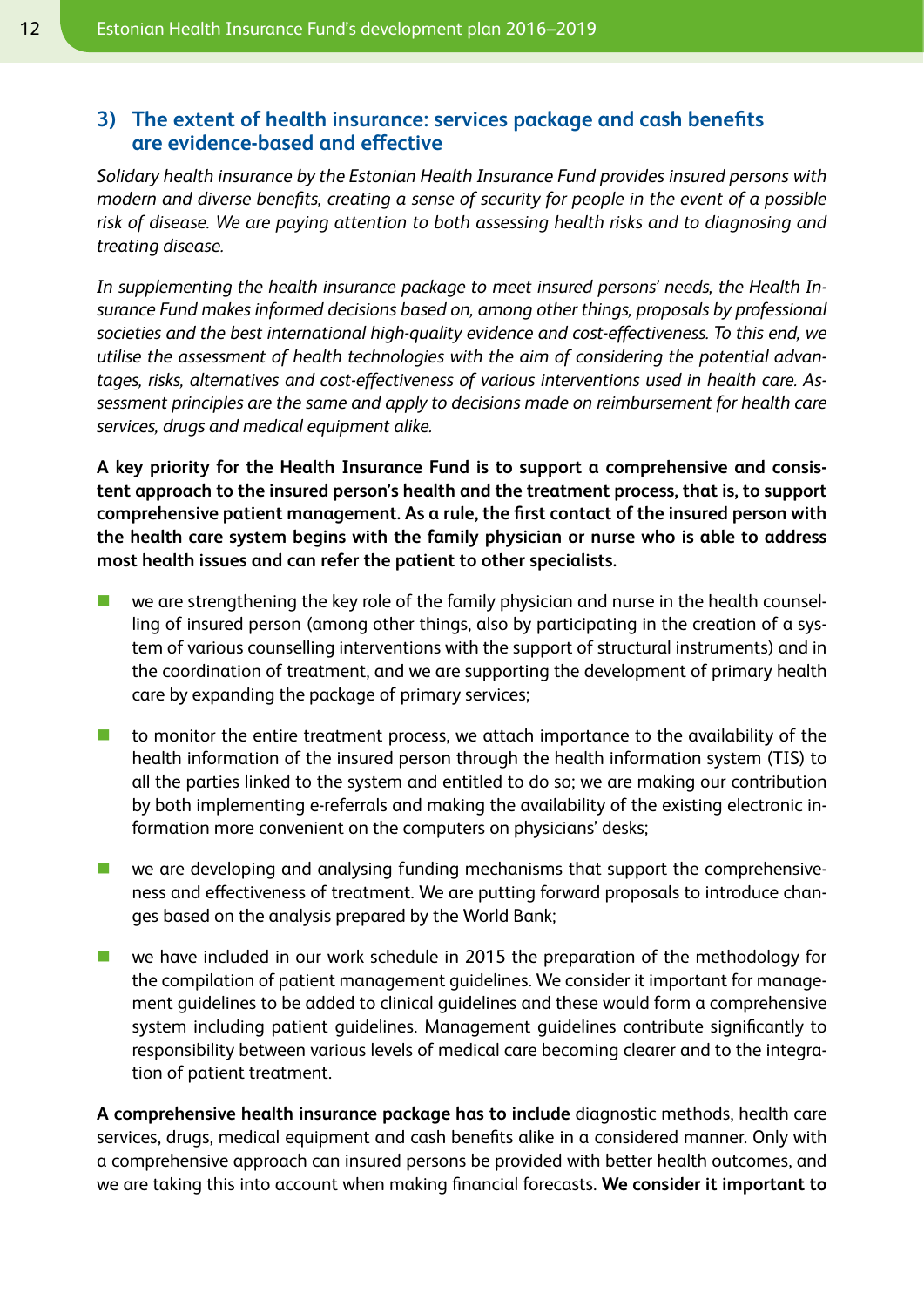### **3) The extent of health insurance: services package and cash benefits are evidence-based and effective**

*Solidary health insurance by the Estonian Health Insurance Fund provides insured persons with modern and diverse benefits, creating a sense of security for people in the event of a possible risk of disease. We are paying attention to both assessing health risks and to diagnosing and treating disease.*

*In supplementing the health insurance package to meet insured persons' needs, the Health Insurance Fund makes informed decisions based on, among other things, proposals by professional societies and the best international high-quality evidence and cost-effectiveness. To this end, we utilise the assessment of health technologies with the aim of considering the potential advantages, risks, alternatives and cost-effectiveness of various interventions used in health care. Assessment principles are the same and apply to decisions made on reimbursement for health care services, drugs and medical equipment alike.*

**A key priority for the Health Insurance Fund is to support a comprehensive and consistent approach to the insured person's health and the treatment process, that is, to support comprehensive patient management. As a rule, the first contact of the insured person with the health care system begins with the family physician or nurse who is able to address most health issues and can refer the patient to other specialists.**

- $\blacksquare$  we are strengthening the key role of the family physician and nurse in the health counselling of insured person (among other things, also by participating in the creation of a system of various counselling interventions with the support of structural instruments) and in the coordination of treatment, and we are supporting the development of primary health care by expanding the package of primary services;
- $\blacksquare$  to monitor the entire treatment process, we attach importance to the availability of the health information of the insured person through the health information system (TIS) to all the parties linked to the system and entitled to do so; we are making our contribution by both implementing e-referrals and making the availability of the existing electronic information more convenient on the computers on physicians' desks;
- $\blacksquare$  we are developing and analysing funding mechanisms that support the comprehensiveness and effectiveness of treatment. We are putting forward proposals to introduce changes based on the analysis prepared by the World Bank;
- $\blacksquare$  we have included in our work schedule in 2015 the preparation of the methodology for the compilation of patient management guidelines. We consider it important for management guidelines to be added to clinical guidelines and these would form a comprehensive system including patient guidelines. Management guidelines contribute significantly to responsibility between various levels of medical care becoming clearer and to the integration of patient treatment.

**A comprehensive health insurance package has to include** diagnostic methods, health care services, drugs, medical equipment and cash benefits alike in a considered manner. Only with a comprehensive approach can insured persons be provided with better health outcomes, and we are taking this into account when making financial forecasts. **We consider it important to**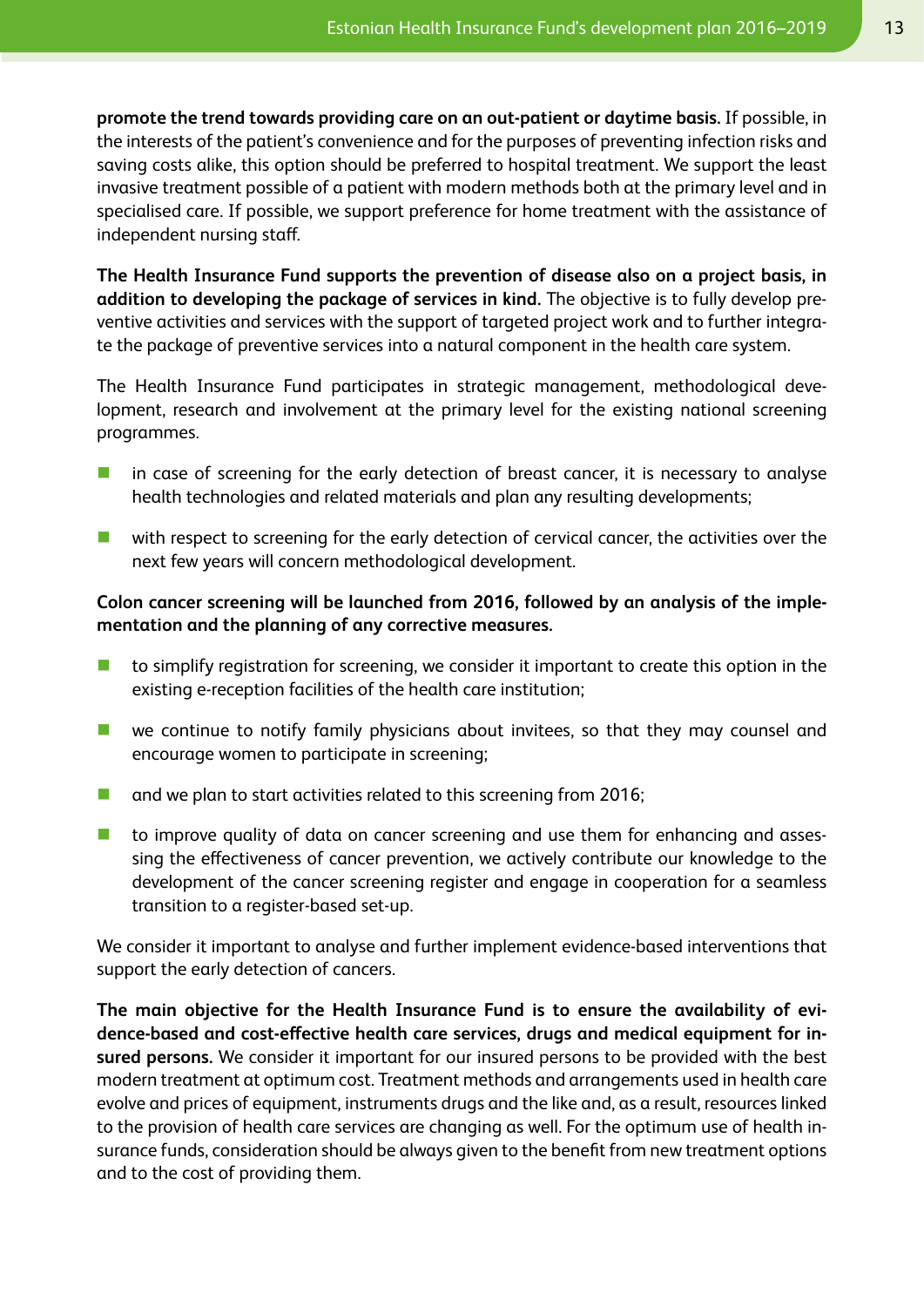**promote the trend towards providing care on an out-patient or daytime basis.** If possible, in the interests of the patient's convenience and for the purposes of preventing infection risks and saving costs alike, this option should be preferred to hospital treatment. We support the least invasive treatment possible of a patient with modern methods both at the primary level and in specialised care. If possible, we support preference for home treatment with the assistance of independent nursing staff.

**The Health Insurance Fund supports the prevention of disease also on a project basis, in addition to developing the package of services in kind.** The objective is to fully develop preventive activities and services with the support of targeted project work and to further integrate the package of preventive services into a natural component in the health care system.

The Health Insurance Fund participates in strategic management, methodological development, research and involvement at the primary level for the existing national screening programmes.

- $\blacksquare$  in case of screening for the early detection of breast cancer, it is necessary to analyse health technologies and related materials and plan any resulting developments;
- $\blacksquare$  with respect to screening for the early detection of cervical cancer, the activities over the next few years will concern methodological development.

### **Colon cancer screening will be launched from 2016, followed by an analysis of the implementation and the planning of any corrective measures.**

- $\blacksquare$  to simplify registration for screening, we consider it important to create this option in the existing e-reception facilities of the health care institution;
- $\blacksquare$  we continue to notify family physicians about invitees, so that they may counsel and encourage women to participate in screening;
- $\blacksquare$  and we plan to start activities related to this screening from 2016;
- to improve quality of data on cancer screening and use them for enhancing and assessing the effectiveness of cancer prevention, we actively contribute our knowledge to the development of the cancer screening register and engage in cooperation for a seamless transition to a register-based set-up.

We consider it important to analyse and further implement evidence-based interventions that support the early detection of cancers.

**The main objective for the Health Insurance Fund is to ensure the availability of evidence-based and cost-effective health care services, drugs and medical equipment for insured persons.** We consider it important for our insured persons to be provided with the best modern treatment at optimum cost. Treatment methods and arrangements used in health care evolve and prices of equipment, instruments drugs and the like and, as a result, resources linked to the provision of health care services are changing as well. For the optimum use of health insurance funds, consideration should be always given to the benefit from new treatment options and to the cost of providing them.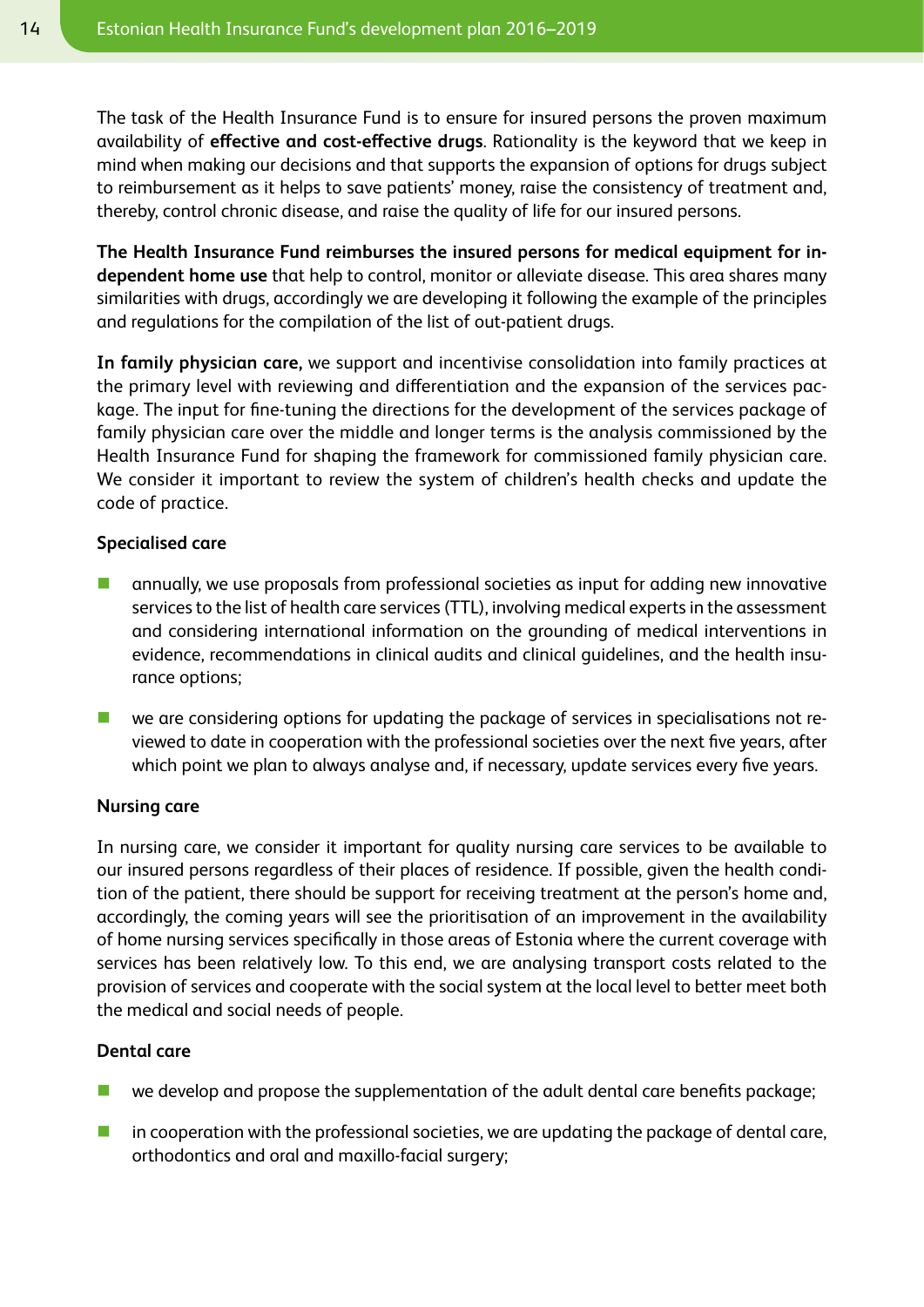The task of the Health Insurance Fund is to ensure for insured persons the proven maximum availability of **effective and cost-effective drugs**. Rationality is the keyword that we keep in mind when making our decisions and that supports the expansion of options for drugs subject to reimbursement as it helps to save patients' money, raise the consistency of treatment and, thereby, control chronic disease, and raise the quality of life for our insured persons.

**The Health Insurance Fund reimburses the insured persons for medical equipment for independent home use** that help to control, monitor or alleviate disease. This area shares many similarities with drugs, accordingly we are developing it following the example of the principles and regulations for the compilation of the list of out-patient drugs.

**In family physician care,** we support and incentivise consolidation into family practices at the primary level with reviewing and differentiation and the expansion of the services package. The input for fine-tuning the directions for the development of the services package of family physician care over the middle and longer terms is the analysis commissioned by the Health Insurance Fund for shaping the framework for commissioned family physician care. We consider it important to review the system of children's health checks and update the code of practice.

### **Specialised care**

- n annually, we use proposals from professional societies as input for adding new innovative services to the list of health care services (TTL), involving medical experts in the assessment and considering international information on the grounding of medical interventions in evidence, recommendations in clinical audits and clinical guidelines, and the health insurance options;
- **n** we are considering options for updating the package of services in specialisations not reviewed to date in cooperation with the professional societies over the next five years, after which point we plan to always analyse and, if necessary, update services every five years.

### **Nursing care**

In nursing care, we consider it important for quality nursing care services to be available to our insured persons regardless of their places of residence. If possible, given the health condition of the patient, there should be support for receiving treatment at the person's home and, accordingly, the coming years will see the prioritisation of an improvement in the availability of home nursing services specifically in those areas of Estonia where the current coverage with services has been relatively low. To this end, we are analysing transport costs related to the provision of services and cooperate with the social system at the local level to better meet both the medical and social needs of people.

### **Dental care**

- $\blacksquare$  we develop and propose the supplementation of the adult dental care benefits package;
- $\blacksquare$  in cooperation with the professional societies, we are updating the package of dental care, orthodontics and oral and maxillo-facial surgery;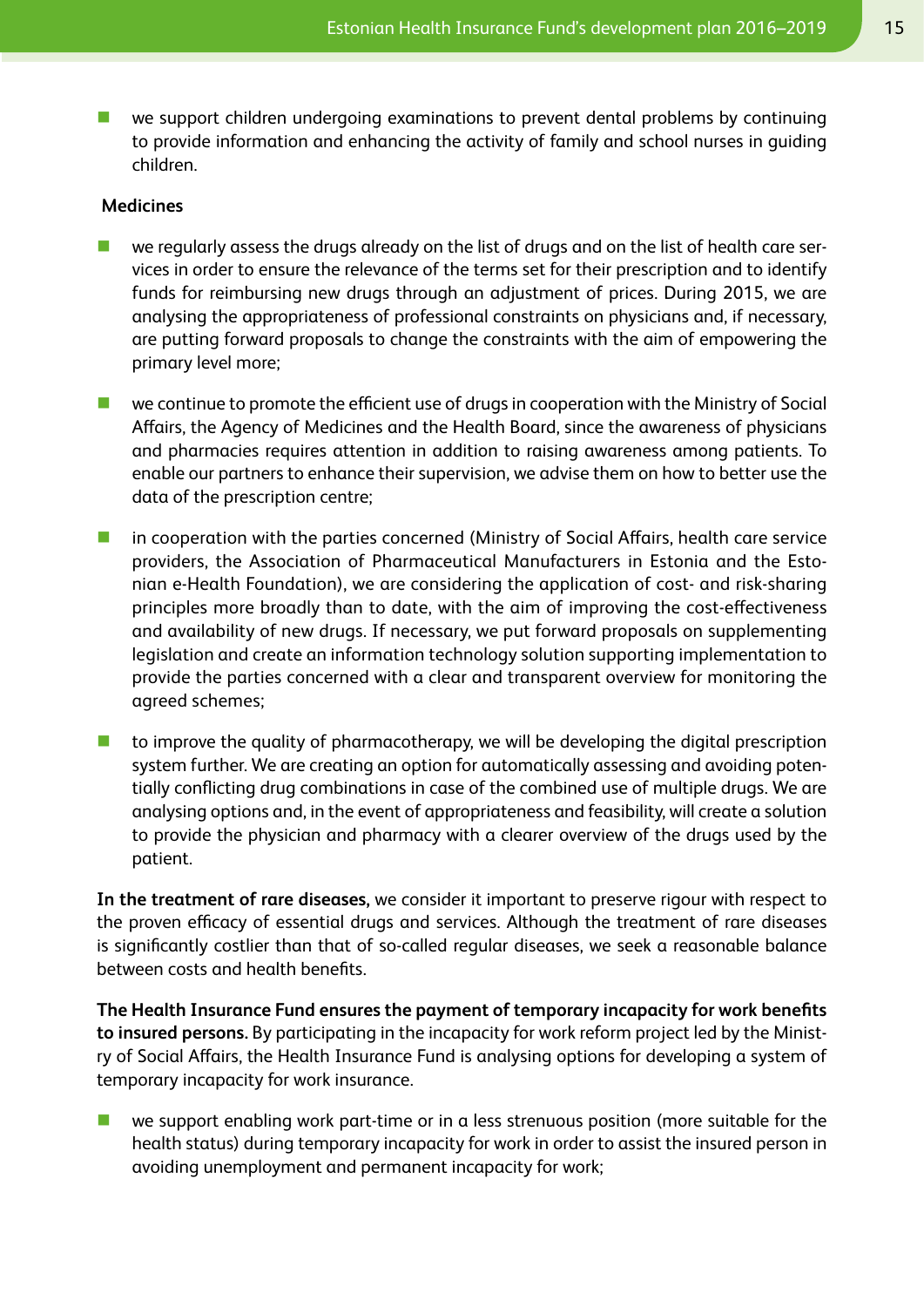$\blacksquare$  we support children undergoing examinations to prevent dental problems by continuing to provide information and enhancing the activity of family and school nurses in guiding children.

#### **Medicines**

- $\blacksquare$  we regularly assess the drugs already on the list of drugs and on the list of health care services in order to ensure the relevance of the terms set for their prescription and to identify funds for reimbursing new drugs through an adjustment of prices. During 2015, we are analysing the appropriateness of professional constraints on physicians and, if necessary, are putting forward proposals to change the constraints with the aim of empowering the primary level more;
- $\blacksquare$  we continue to promote the efficient use of drugs in cooperation with the Ministry of Social Affairs, the Agency of Medicines and the Health Board, since the awareness of physicians and pharmacies requires attention in addition to raising awareness among patients. To enable our partners to enhance their supervision, we advise them on how to better use the data of the prescription centre;
- **n** in cooperation with the parties concerned (Ministry of Social Affairs, health care service providers, the Association of Pharmaceutical Manufacturers in Estonia and the Estonian e-Health Foundation), we are considering the application of cost- and risk-sharing principles more broadly than to date, with the aim of improving the cost-effectiveness and availability of new drugs. If necessary, we put forward proposals on supplementing legislation and create an information technology solution supporting implementation to provide the parties concerned with a clear and transparent overview for monitoring the agreed schemes;
- $\blacksquare$  to improve the quality of pharmacotherapy, we will be developing the digital prescription system further. We are creating an option for automatically assessing and avoiding potentially conflicting drug combinations in case of the combined use of multiple drugs. We are analysing options and, in the event of appropriateness and feasibility, will create a solution to provide the physician and pharmacy with a clearer overview of the drugs used by the patient.

**In the treatment of rare diseases,** we consider it important to preserve rigour with respect to the proven efficacy of essential drugs and services. Although the treatment of rare diseases is significantly costlier than that of so-called regular diseases, we seek a reasonable balance between costs and health benefits.

**The Health Insurance Fund ensures the payment of temporary incapacity for work benefits to insured persons.** By participating in the incapacity for work reform project led by the Ministry of Social Affairs, the Health Insurance Fund is analysing options for developing a system of temporary incapacity for work insurance.

 $\blacksquare$  we support enabling work part-time or in a less strenuous position (more suitable for the health status) during temporary incapacity for work in order to assist the insured person in avoiding unemployment and permanent incapacity for work;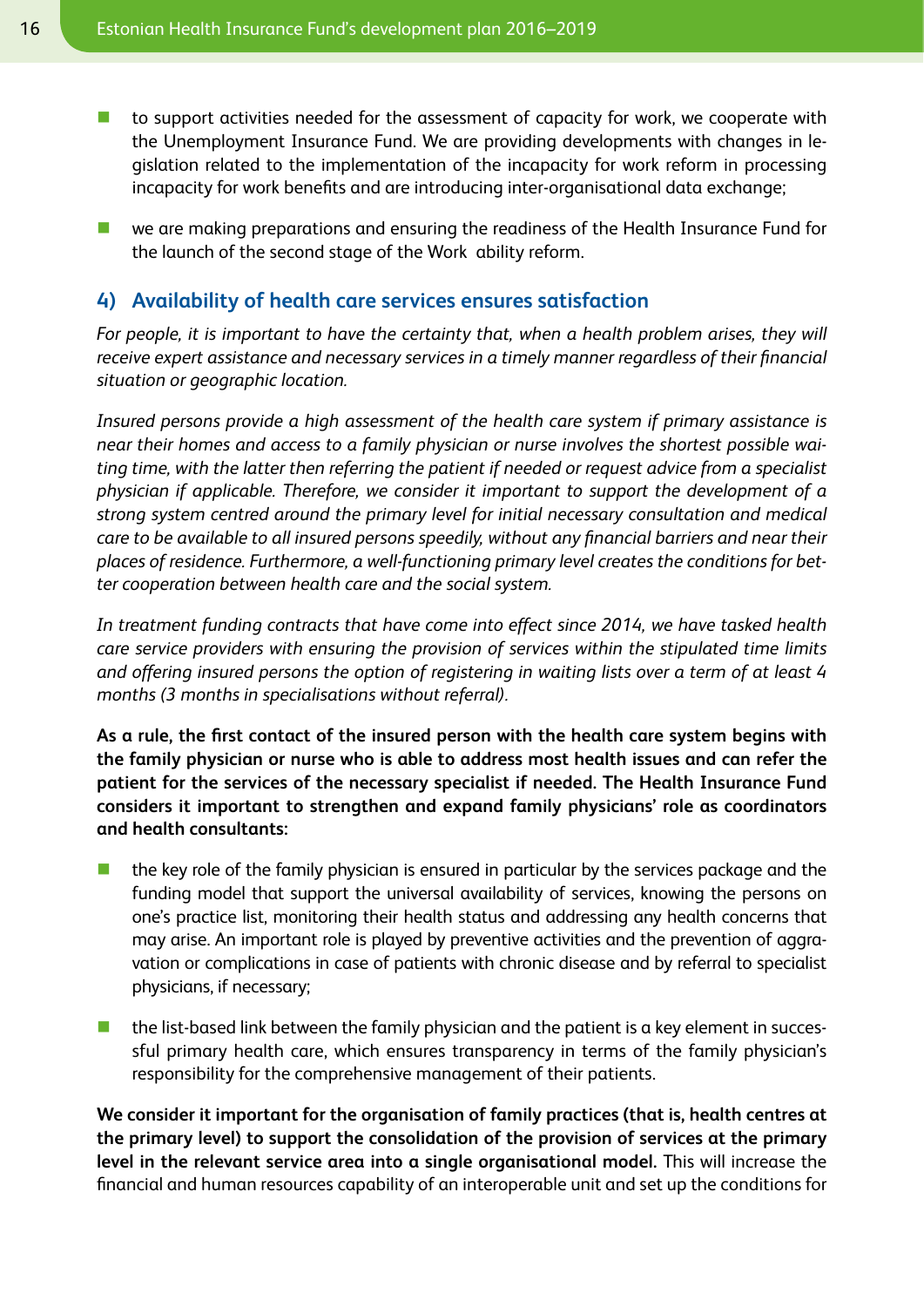- $\blacksquare$  to support activities needed for the assessment of capacity for work, we cooperate with the Unemployment Insurance Fund. We are providing developments with changes in legislation related to the implementation of the incapacity for work reform in processing incapacity for work benefits and are introducing inter-organisational data exchange;
- **n** we are making preparations and ensuring the readiness of the Health Insurance Fund for the launch of the second stage of the Work ability reform.

#### **4) Availability of health care services ensures satisfaction**

*For people, it is important to have the certainty that, when a health problem arises, they will receive expert assistance and necessary services in a timely manner regardless of their financial situation or geographic location.*

*Insured persons provide a high assessment of the health care system if primary assistance is near their homes and access to a family physician or nurse involves the shortest possible waiting time, with the latter then referring the patient if needed or request advice from a specialist physician if applicable. Therefore, we consider it important to support the development of a strong system centred around the primary level for initial necessary consultation and medical care to be available to all insured persons speedily, without any financial barriers and near their places of residence. Furthermore, a well-functioning primary level creates the conditions for better cooperation between health care and the social system.*

*In treatment funding contracts that have come into effect since 2014, we have tasked health care service providers with ensuring the provision of services within the stipulated time limits and offering insured persons the option of registering in waiting lists over a term of at least 4 months (3 months in specialisations without referral).*

**As a rule, the first contact of the insured person with the health care system begins with the family physician or nurse who is able to address most health issues and can refer the patient for the services of the necessary specialist if needed. The Health Insurance Fund considers it important to strengthen and expand family physicians' role as coordinators and health consultants:**

- $\blacksquare$  the key role of the family physician is ensured in particular by the services package and the funding model that support the universal availability of services, knowing the persons on one's practice list, monitoring their health status and addressing any health concerns that may arise. An important role is played by preventive activities and the prevention of aggravation or complications in case of patients with chronic disease and by referral to specialist physicians, if necessary;
- $\blacksquare$  the list-based link between the family physician and the patient is a key element in successful primary health care, which ensures transparency in terms of the family physician's responsibility for the comprehensive management of their patients.

**We consider it important for the organisation of family practices (that is, health centres at the primary level) to support the consolidation of the provision of services at the primary level in the relevant service area into a single organisational model.** This will increase the financial and human resources capability of an interoperable unit and set up the conditions for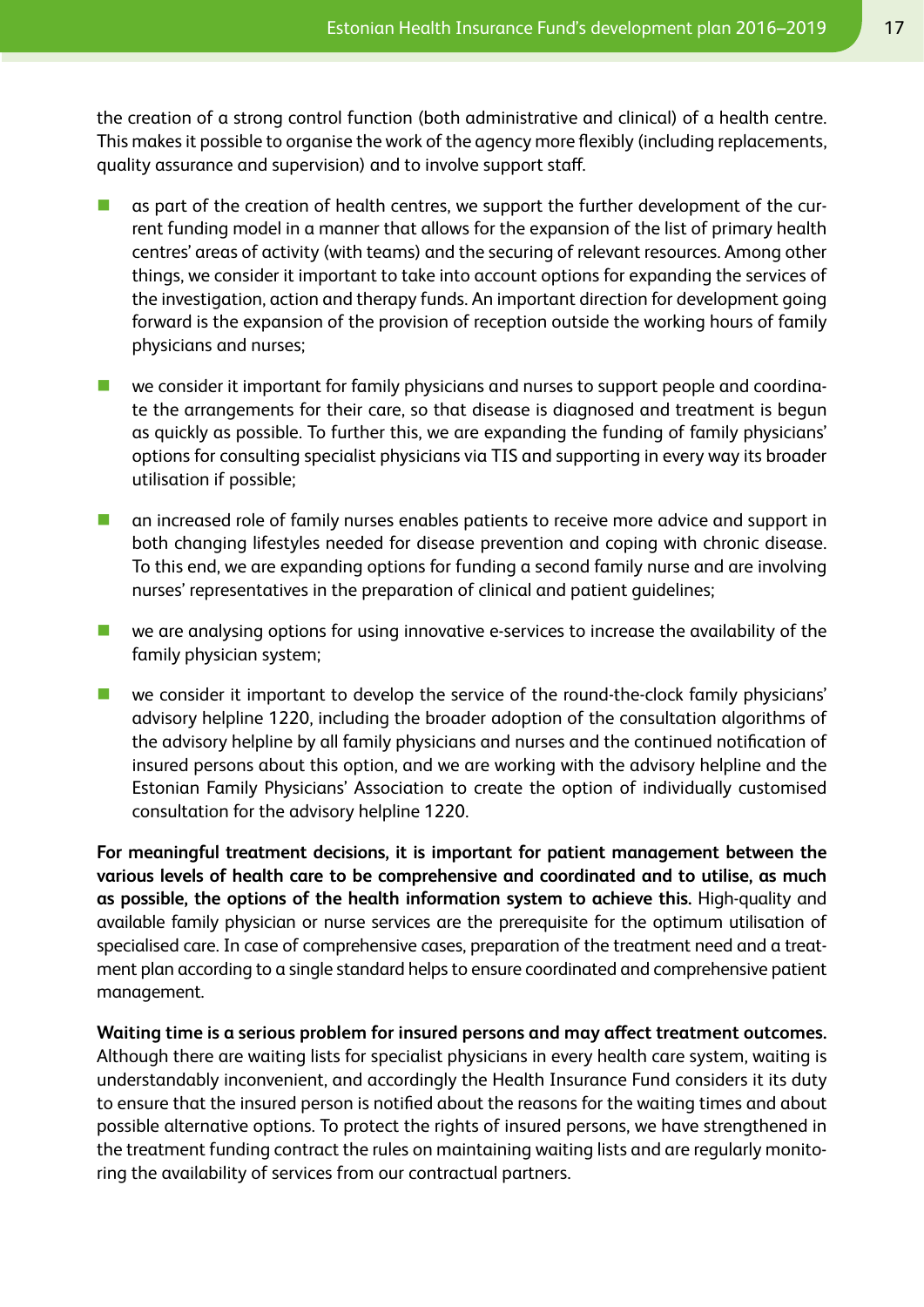the creation of a strong control function (both administrative and clinical) of a health centre. This makes it possible to organise the work of the agency more flexibly (including replacements, quality assurance and supervision) and to involve support staff.

- as part of the creation of health centres, we support the further development of the current funding model in a manner that allows for the expansion of the list of primary health centres' areas of activity (with teams) and the securing of relevant resources. Among other things, we consider it important to take into account options for expanding the services of the investigation, action and therapy funds. An important direction for development going forward is the expansion of the provision of reception outside the working hours of family physicians and nurses;
- $\blacksquare$  we consider it important for family physicians and nurses to support people and coordinate the arrangements for their care, so that disease is diagnosed and treatment is begun as quickly as possible. To further this, we are expanding the funding of family physicians' options for consulting specialist physicians via TIS and supporting in every way its broader utilisation if possible;
- $\blacksquare$  an increased role of family nurses enables patients to receive more advice and support in both changing lifestyles needed for disease prevention and coping with chronic disease. To this end, we are expanding options for funding a second family nurse and are involving nurses' representatives in the preparation of clinical and patient guidelines;
- $\blacksquare$  we are analysing options for using innovative e-services to increase the availability of the family physician system;
- **n** we consider it important to develop the service of the round-the-clock family physicians' advisory helpline 1220, including the broader adoption of the consultation algorithms of the advisory helpline by all family physicians and nurses and the continued notification of insured persons about this option, and we are working with the advisory helpline and the Estonian Family Physicians' Association to create the option of individually customised consultation for the advisory helpline 1220.

**For meaningful treatment decisions, it is important for patient management between the various levels of health care to be comprehensive and coordinated and to utilise, as much as possible, the options of the health information system to achieve this.** High-quality and available family physician or nurse services are the prerequisite for the optimum utilisation of specialised care. In case of comprehensive cases, preparation of the treatment need and a treatment plan according to a single standard helps to ensure coordinated and comprehensive patient management.

**Waiting time is a serious problem for insured persons and may affect treatment outcomes.**  Although there are waiting lists for specialist physicians in every health care system, waiting is understandably inconvenient, and accordingly the Health Insurance Fund considers it its duty to ensure that the insured person is notified about the reasons for the waiting times and about possible alternative options. To protect the rights of insured persons, we have strengthened in the treatment funding contract the rules on maintaining waiting lists and are regularly monitoring the availability of services from our contractual partners.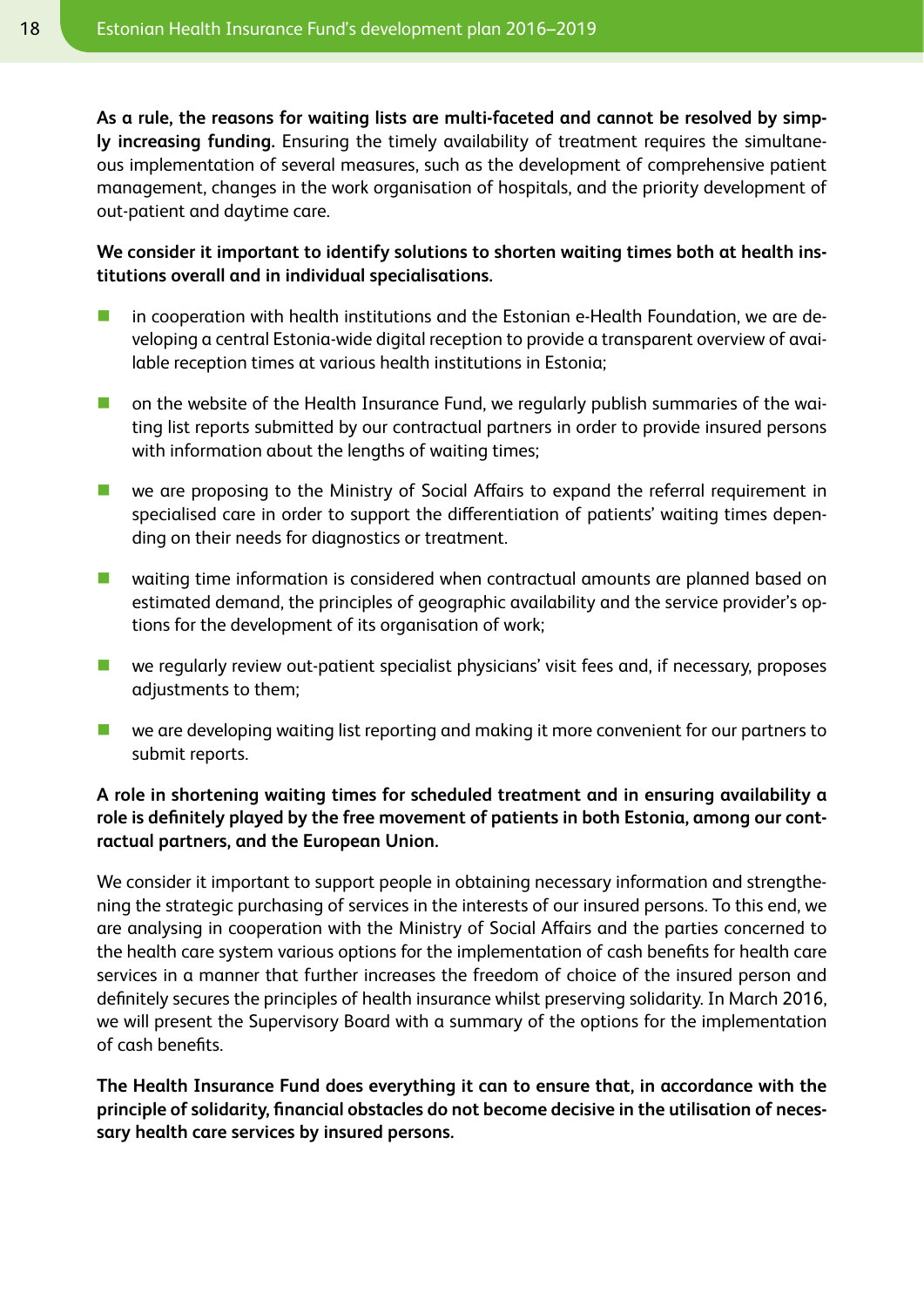**As a rule, the reasons for waiting lists are multi-faceted and cannot be resolved by simply increasing funding.** Ensuring the timely availability of treatment requires the simultaneous implementation of several measures, such as the development of comprehensive patient management, changes in the work organisation of hospitals, and the priority development of out-patient and daytime care.

**We consider it important to identify solutions to shorten waiting times both at health institutions overall and in individual specialisations.**

- **n** in cooperation with health institutions and the Estonian e-Health Foundation, we are developing a central Estonia-wide digital reception to provide a transparent overview of available reception times at various health institutions in Estonia;
- $\blacksquare$  on the website of the Health Insurance Fund, we regularly publish summaries of the waiting list reports submitted by our contractual partners in order to provide insured persons with information about the lengths of waiting times;
- $\blacksquare$  we are proposing to the Ministry of Social Affairs to expand the referral requirement in specialised care in order to support the differentiation of patients' waiting times depending on their needs for diagnostics or treatment.
- **n** waiting time information is considered when contractual amounts are planned based on estimated demand, the principles of geographic availability and the service provider's options for the development of its organisation of work;
- $\blacksquare$  we regularly review out-patient specialist physicians' visit fees and, if necessary, proposes adjustments to them;
- $\blacksquare$  we are developing waiting list reporting and making it more convenient for our partners to submit reports.

## **A role in shortening waiting times for scheduled treatment and in ensuring availability a role is definitely played by the free movement of patients in both Estonia, among our contractual partners, and the European Union.**

We consider it important to support people in obtaining necessary information and strengthening the strategic purchasing of services in the interests of our insured persons. To this end, we are analysing in cooperation with the Ministry of Social Affairs and the parties concerned to the health care system various options for the implementation of cash benefits for health care services in a manner that further increases the freedom of choice of the insured person and definitely secures the principles of health insurance whilst preserving solidarity. In March 2016, we will present the Supervisory Board with a summary of the options for the implementation of cash benefits.

**The Health Insurance Fund does everything it can to ensure that, in accordance with the principle of solidarity, financial obstacles do not become decisive in the utilisation of necessary health care services by insured persons.**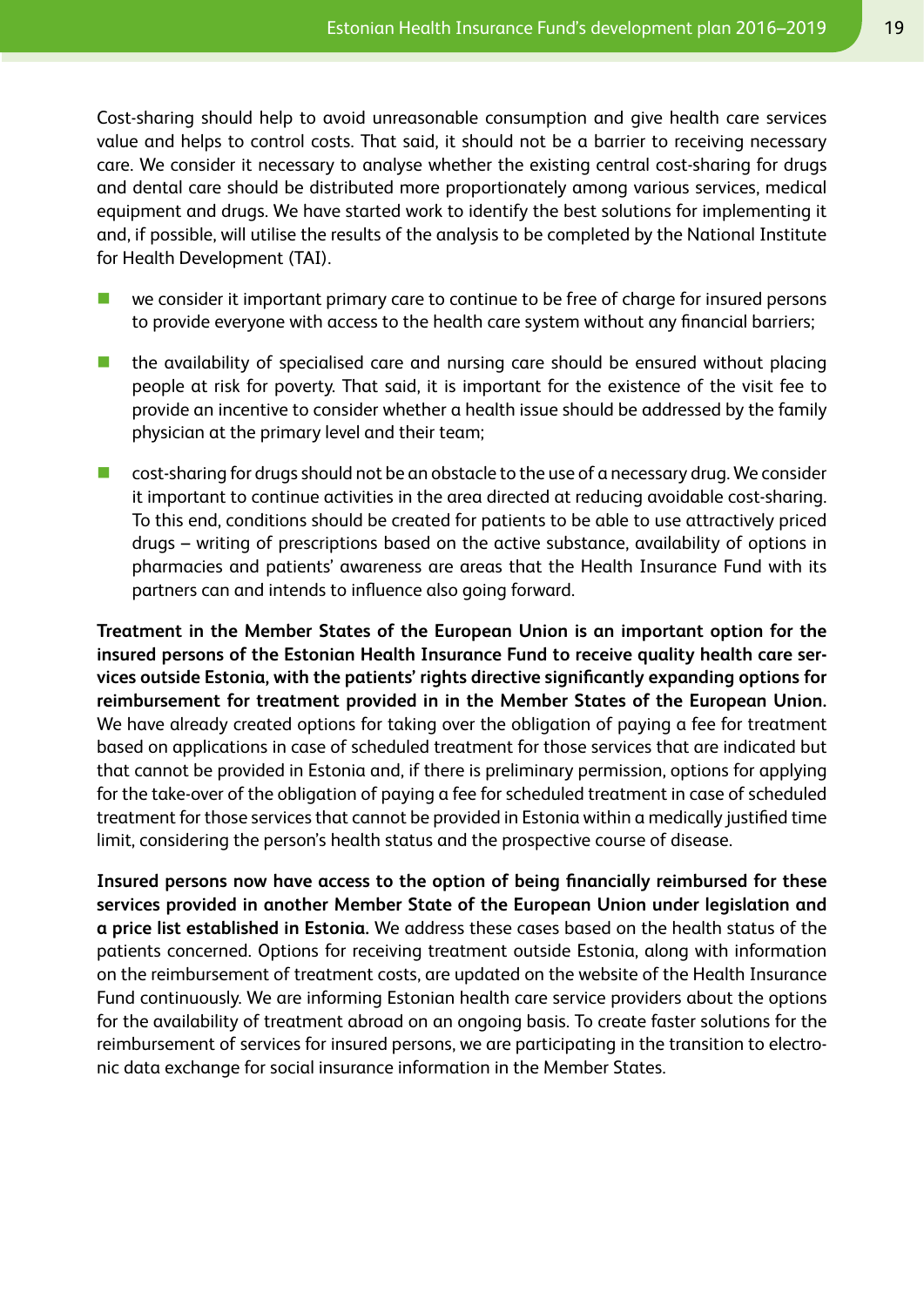Cost-sharing should help to avoid unreasonable consumption and give health care services value and helps to control costs. That said, it should not be a barrier to receiving necessary care. We consider it necessary to analyse whether the existing central cost-sharing for drugs and dental care should be distributed more proportionately among various services, medical equipment and drugs. We have started work to identify the best solutions for implementing it and, if possible, will utilise the results of the analysis to be completed by the National Institute for Health Development (TAI).

- $\blacksquare$  we consider it important primary care to continue to be free of charge for insured persons to provide everyone with access to the health care system without any financial barriers;
- $\blacksquare$  the availability of specialised care and nursing care should be ensured without placing people at risk for poverty. That said, it is important for the existence of the visit fee to provide an incentive to consider whether a health issue should be addressed by the family physician at the primary level and their team;
- $\Box$  cost-sharing for drugs should not be an obstacle to the use of a necessary drug. We consider it important to continue activities in the area directed at reducing avoidable cost-sharing. To this end, conditions should be created for patients to be able to use attractively priced drugs – writing of prescriptions based on the active substance, availability of options in pharmacies and patients' awareness are areas that the Health Insurance Fund with its partners can and intends to influence also going forward.

**Treatment in the Member States of the European Union is an important option for the insured persons of the Estonian Health Insurance Fund to receive quality health care services outside Estonia, with the patients' rights directive significantly expanding options for reimbursement for treatment provided in in the Member States of the European Union.** We have already created options for taking over the obligation of paying a fee for treatment based on applications in case of scheduled treatment for those services that are indicated but that cannot be provided in Estonia and, if there is preliminary permission, options for applying for the take-over of the obligation of paying a fee for scheduled treatment in case of scheduled treatment for those services that cannot be provided in Estonia within a medically justified time limit, considering the person's health status and the prospective course of disease.

**Insured persons now have access to the option of being financially reimbursed for these services provided in another Member State of the European Union under legislation and a price list established in Estonia.** We address these cases based on the health status of the patients concerned. Options for receiving treatment outside Estonia, along with information on the reimbursement of treatment costs, are updated on the website of the Health Insurance Fund continuously. We are informing Estonian health care service providers about the options for the availability of treatment abroad on an ongoing basis. To create faster solutions for the reimbursement of services for insured persons, we are participating in the transition to electronic data exchange for social insurance information in the Member States.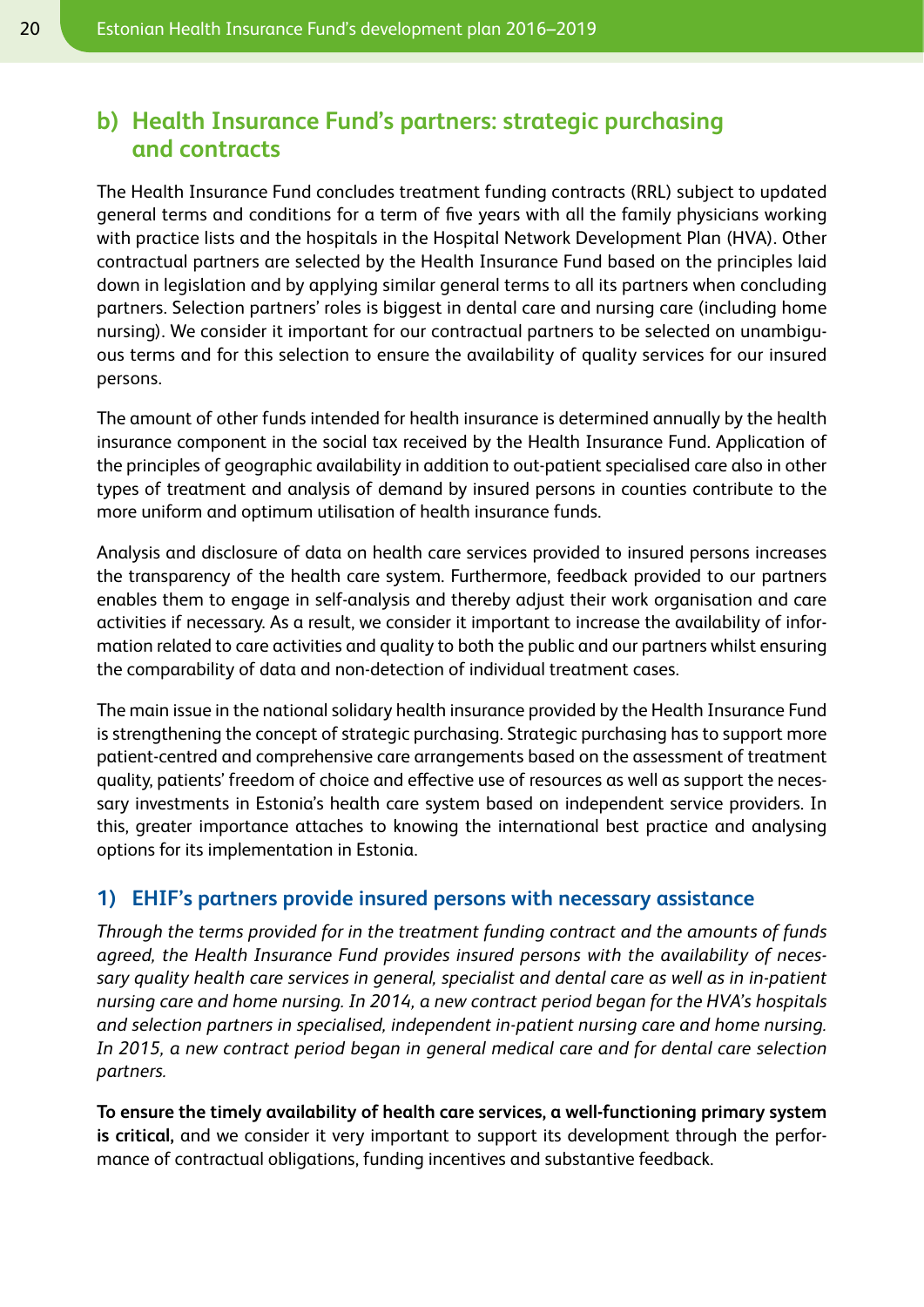# **b) Health Insurance Fund's partners: strategic purchasing and contracts**

The Health Insurance Fund concludes treatment funding contracts (RRL) subject to updated general terms and conditions for a term of five years with all the family physicians working with practice lists and the hospitals in the Hospital Network Development Plan (HVA). Other contractual partners are selected by the Health Insurance Fund based on the principles laid down in legislation and by applying similar general terms to all its partners when concluding partners. Selection partners' roles is biggest in dental care and nursing care (including home nursing). We consider it important for our contractual partners to be selected on unambiguous terms and for this selection to ensure the availability of quality services for our insured persons.

The amount of other funds intended for health insurance is determined annually by the health insurance component in the social tax received by the Health Insurance Fund. Application of the principles of geographic availability in addition to out-patient specialised care also in other types of treatment and analysis of demand by insured persons in counties contribute to the more uniform and optimum utilisation of health insurance funds.

Analysis and disclosure of data on health care services provided to insured persons increases the transparency of the health care system. Furthermore, feedback provided to our partners enables them to engage in self-analysis and thereby adjust their work organisation and care activities if necessary. As a result, we consider it important to increase the availability of information related to care activities and quality to both the public and our partners whilst ensuring the comparability of data and non-detection of individual treatment cases.

The main issue in the national solidary health insurance provided by the Health Insurance Fund is strengthening the concept of strategic purchasing. Strategic purchasing has to support more patient-centred and comprehensive care arrangements based on the assessment of treatment quality, patients' freedom of choice and effective use of resources as well as support the necessary investments in Estonia's health care system based on independent service providers. In this, greater importance attaches to knowing the international best practice and analysing options for its implementation in Estonia.

### **1) EHIF's partners provide insured persons with necessary assistance**

*Through the terms provided for in the treatment funding contract and the amounts of funds agreed, the Health Insurance Fund provides insured persons with the availability of necessary quality health care services in general, specialist and dental care as well as in in-patient nursing care and home nursing. In 2014, a new contract period began for the HVA's hospitals and selection partners in specialised, independent in-patient nursing care and home nursing. In 2015, a new contract period began in general medical care and for dental care selection partners.*

**To ensure the timely availability of health care services, a well-functioning primary system is critical,** and we consider it very important to support its development through the performance of contractual obligations, funding incentives and substantive feedback.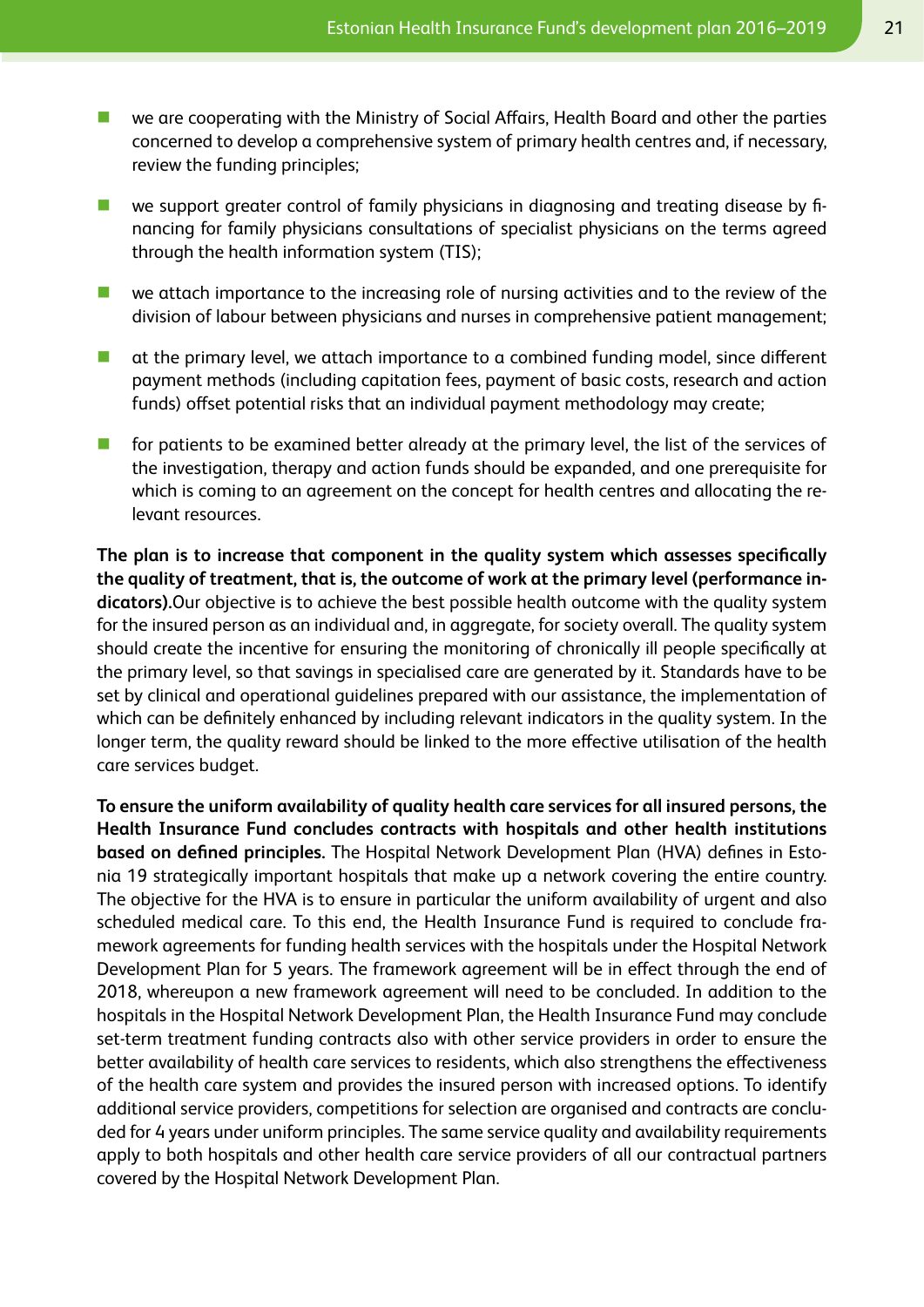- $\blacksquare$  we are cooperating with the Ministry of Social Affairs, Health Board and other the parties concerned to develop a comprehensive system of primary health centres and, if necessary, review the funding principles;
- $\blacksquare$  we support greater control of family physicians in diagnosing and treating disease by financing for family physicians consultations of specialist physicians on the terms agreed through the health information system (TIS);
- $\blacksquare$  we attach importance to the increasing role of nursing activities and to the review of the division of labour between physicians and nurses in comprehensive patient management;
- $\blacksquare$  at the primary level, we attach importance to a combined funding model, since different payment methods (including capitation fees, payment of basic costs, research and action funds) offset potential risks that an individual payment methodology may create;
- $\blacksquare$  for patients to be examined better already at the primary level, the list of the services of the investigation, therapy and action funds should be expanded, and one prerequisite for which is coming to an agreement on the concept for health centres and allocating the relevant resources.

**The plan is to increase that component in the quality system which assesses specifically the quality of treatment, that is, the outcome of work at the primary level (performance indicators).**Our objective is to achieve the best possible health outcome with the quality system for the insured person as an individual and, in aggregate, for society overall. The quality system should create the incentive for ensuring the monitoring of chronically ill people specifically at the primary level, so that savings in specialised care are generated by it. Standards have to be set by clinical and operational guidelines prepared with our assistance, the implementation of which can be definitely enhanced by including relevant indicators in the quality system. In the longer term, the quality reward should be linked to the more effective utilisation of the health care services budget.

**To ensure the uniform availability of quality health care services for all insured persons, the Health Insurance Fund concludes contracts with hospitals and other health institutions based on defined principles.** The Hospital Network Development Plan (HVA) defines in Estonia 19 strategically important hospitals that make up a network covering the entire country. The objective for the HVA is to ensure in particular the uniform availability of urgent and also scheduled medical care. To this end, the Health Insurance Fund is required to conclude framework agreements for funding health services with the hospitals under the Hospital Network Development Plan for 5 years. The framework agreement will be in effect through the end of 2018, whereupon a new framework agreement will need to be concluded. In addition to the hospitals in the Hospital Network Development Plan, the Health Insurance Fund may conclude set-term treatment funding contracts also with other service providers in order to ensure the better availability of health care services to residents, which also strengthens the effectiveness of the health care system and provides the insured person with increased options. To identify additional service providers, competitions for selection are organised and contracts are concluded for 4 years under uniform principles. The same service quality and availability requirements apply to both hospitals and other health care service providers of all our contractual partners covered by the Hospital Network Development Plan.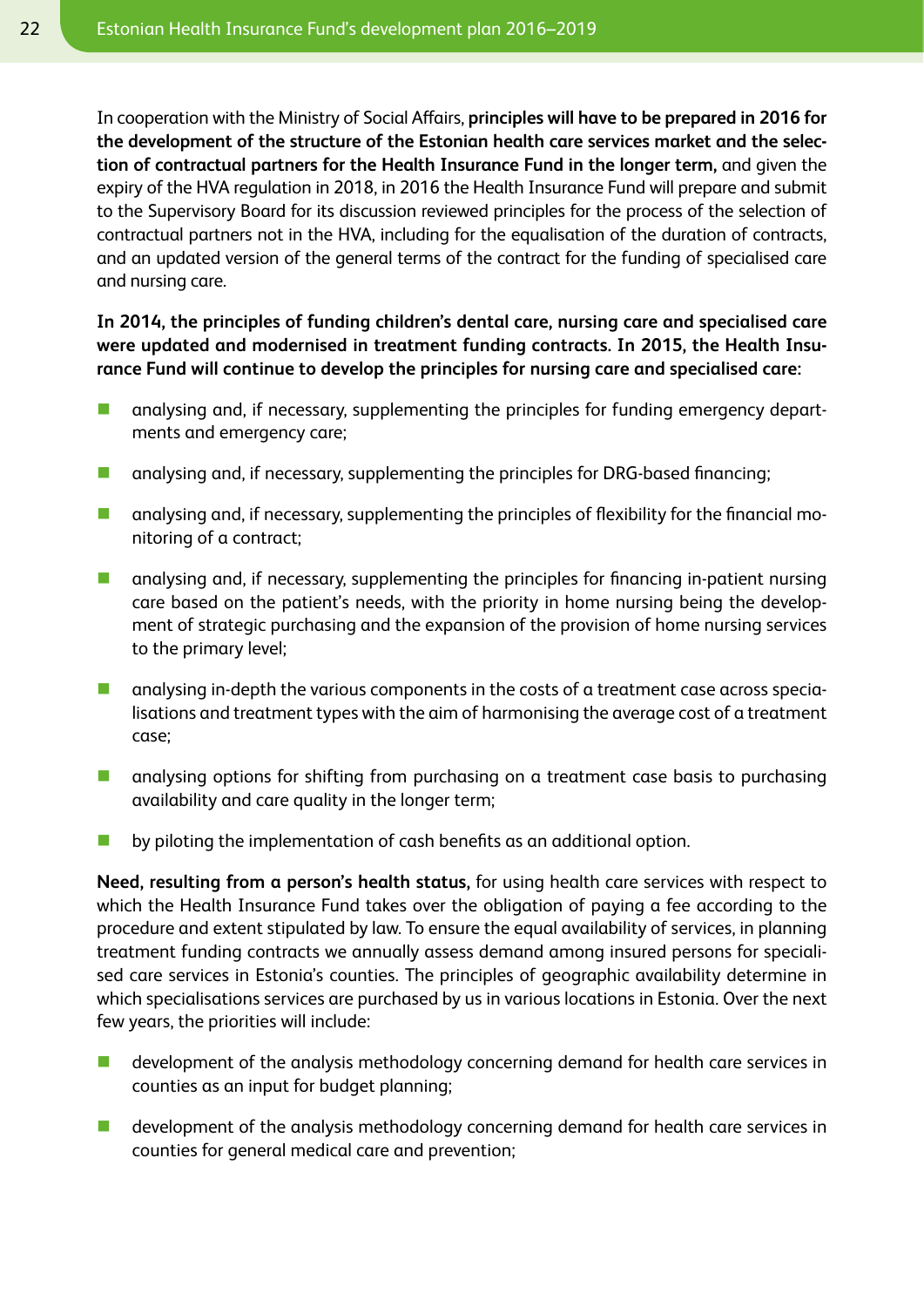In cooperation with the Ministry of Social Affairs, **principles will have to be prepared in 2016 for the development of the structure of the Estonian health care services market and the selection of contractual partners for the Health Insurance Fund in the longer term,** and given the expiry of the HVA regulation in 2018, in 2016 the Health Insurance Fund will prepare and submit to the Supervisory Board for its discussion reviewed principles for the process of the selection of contractual partners not in the HVA, including for the equalisation of the duration of contracts, and an updated version of the general terms of the contract for the funding of specialised care and nursing care.

**In 2014, the principles of funding children's dental care, nursing care and specialised care were updated and modernised in treatment funding contracts. In 2015, the Health Insurance Fund will continue to develop the principles for nursing care and specialised care:**

- $\blacksquare$  analysing and, if necessary, supplementing the principles for funding emergency departments and emergency care;
- $\blacksquare$  analysing and, if necessary, supplementing the principles for DRG-based financing;
- $\blacksquare$  analysing and, if necessary, supplementing the principles of flexibility for the financial monitoring of a contract;
- $\blacksquare$  analysing and, if necessary, supplementing the principles for financing in-patient nursing care based on the patient's needs, with the priority in home nursing being the development of strategic purchasing and the expansion of the provision of home nursing services to the primary level;
- $\Box$  analysing in-depth the various components in the costs of a treatment case across specialisations and treatment types with the aim of harmonising the average cost of a treatment case;
- $\blacksquare$  analysing options for shifting from purchasing on a treatment case basis to purchasing availability and care quality in the longer term;
- $\blacksquare$  by piloting the implementation of cash benefits as an additional option.

**Need, resulting from a person's health status,** for using health care services with respect to which the Health Insurance Fund takes over the obligation of paying a fee according to the procedure and extent stipulated by law. To ensure the equal availability of services, in planning treatment funding contracts we annually assess demand among insured persons for specialised care services in Estonia's counties. The principles of geographic availability determine in which specialisations services are purchased by us in various locations in Estonia. Over the next few years, the priorities will include:

- $\blacksquare$  development of the analysis methodology concerning demand for health care services in counties as an input for budget planning;
- $\blacksquare$  development of the analysis methodology concerning demand for health care services in counties for general medical care and prevention;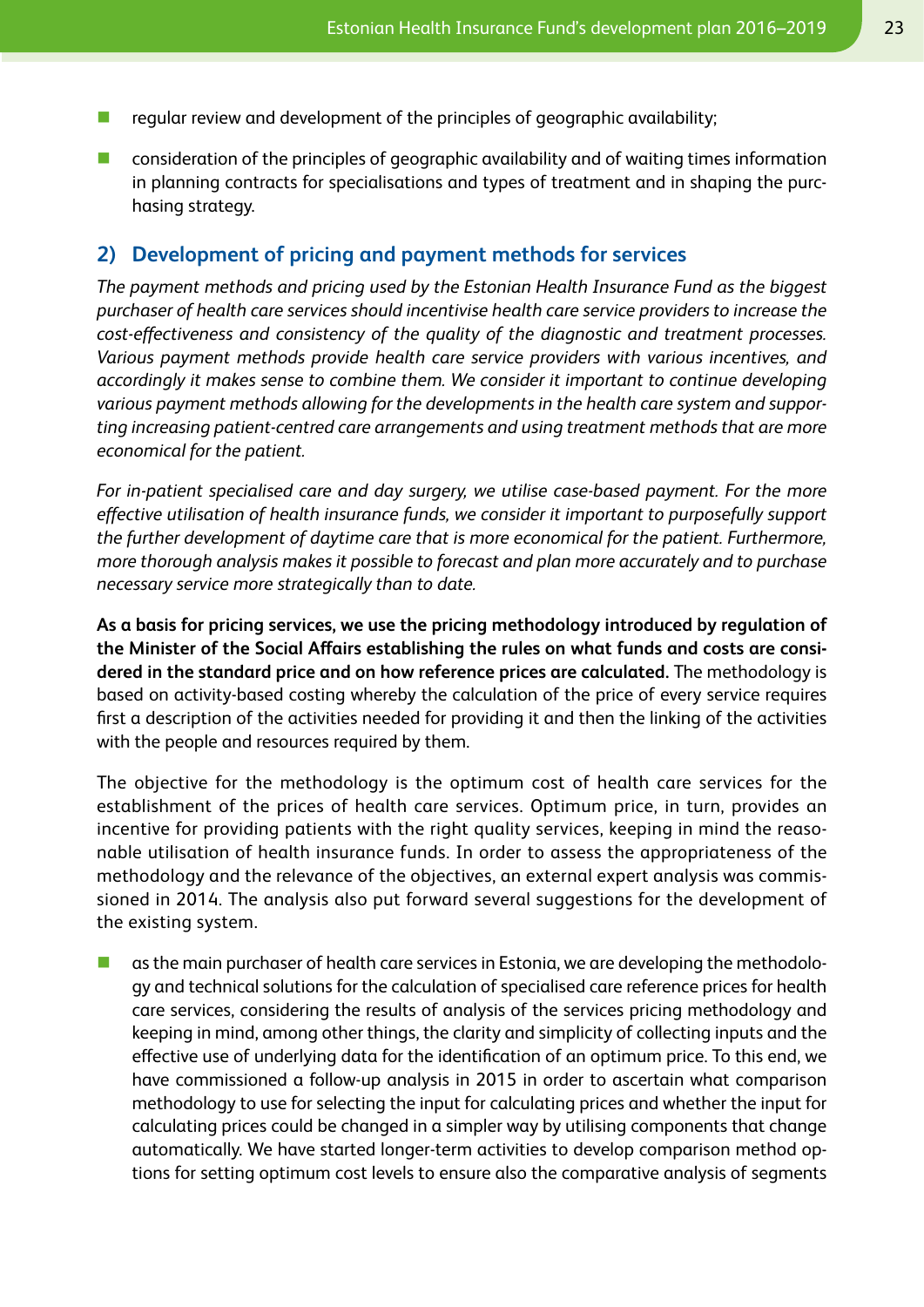- n regular review and development of the principles of geographic availability;
- $\blacksquare$  consideration of the principles of geographic availability and of waiting times information in planning contracts for specialisations and types of treatment and in shaping the purchasing strategy.

### **2) Development of pricing and payment methods for services**

*The payment methods and pricing used by the Estonian Health Insurance Fund as the biggest purchaser of health care services should incentivise health care service providers to increase the cost-effectiveness and consistency of the quality of the diagnostic and treatment processes. Various payment methods provide health care service providers with various incentives, and accordingly it makes sense to combine them. We consider it important to continue developing various payment methods allowing for the developments in the health care system and supporting increasing patient-centred care arrangements and using treatment methods that are more economical for the patient.*

*For in-patient specialised care and day surgery, we utilise case-based payment. For the more effective utilisation of health insurance funds, we consider it important to purposefully support the further development of daytime care that is more economical for the patient. Furthermore, more thorough analysis makes it possible to forecast and plan more accurately and to purchase necessary service more strategically than to date.*

**As a basis for pricing services, we use the pricing methodology introduced by regulation of the Minister of the Social Affairs establishing the rules on what funds and costs are considered in the standard price and on how reference prices are calculated.** The methodology is based on activity-based costing whereby the calculation of the price of every service requires first a description of the activities needed for providing it and then the linking of the activities with the people and resources required by them.

The objective for the methodology is the optimum cost of health care services for the establishment of the prices of health care services. Optimum price, in turn, provides an incentive for providing patients with the right quality services, keeping in mind the reasonable utilisation of health insurance funds. In order to assess the appropriateness of the methodology and the relevance of the objectives, an external expert analysis was commissioned in 2014. The analysis also put forward several suggestions for the development of the existing system.

 $\Box$  as the main purchaser of health care services in Estonia, we are developing the methodology and technical solutions for the calculation of specialised care reference prices for health care services, considering the results of analysis of the services pricing methodology and keeping in mind, among other things, the clarity and simplicity of collecting inputs and the effective use of underlying data for the identification of an optimum price. To this end, we have commissioned a follow-up analysis in 2015 in order to ascertain what comparison methodology to use for selecting the input for calculating prices and whether the input for calculating prices could be changed in a simpler way by utilising components that change automatically. We have started longer-term activities to develop comparison method options for setting optimum cost levels to ensure also the comparative analysis of segments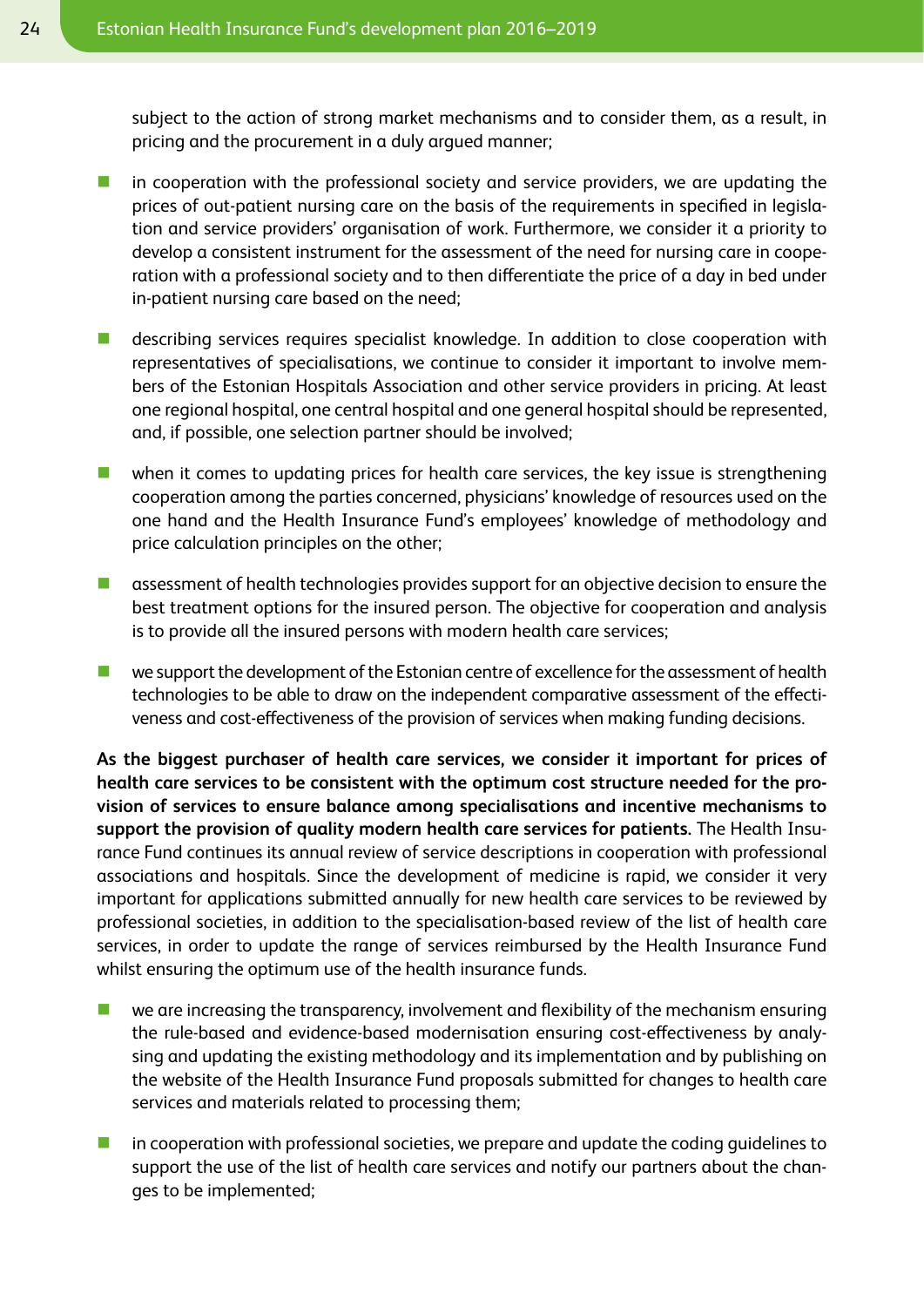subject to the action of strong market mechanisms and to consider them, as a result, in pricing and the procurement in a duly argued manner;

- $\blacksquare$  in cooperation with the professional society and service providers, we are updating the prices of out-patient nursing care on the basis of the requirements in specified in legislation and service providers' organisation of work. Furthermore, we consider it a priority to develop a consistent instrument for the assessment of the need for nursing care in cooperation with a professional society and to then differentiate the price of a day in bed under in-patient nursing care based on the need;
- **n** describing services requires specialist knowledge. In addition to close cooperation with representatives of specialisations, we continue to consider it important to involve members of the Estonian Hospitals Association and other service providers in pricing. At least one regional hospital, one central hospital and one general hospital should be represented, and, if possible, one selection partner should be involved;
- $\blacksquare$  when it comes to updating prices for health care services, the key issue is strengthening cooperation among the parties concerned, physicians' knowledge of resources used on the one hand and the Health Insurance Fund's employees' knowledge of methodology and price calculation principles on the other;
- **n** assessment of health technologies provides support for an objective decision to ensure the best treatment options for the insured person. The objective for cooperation and analysis is to provide all the insured persons with modern health care services;
- $\blacksquare$  we support the development of the Estonian centre of excellence for the assessment of health technologies to be able to draw on the independent comparative assessment of the effectiveness and cost-effectiveness of the provision of services when making funding decisions.

**As the biggest purchaser of health care services, we consider it important for prices of health care services to be consistent with the optimum cost structure needed for the provision of services to ensure balance among specialisations and incentive mechanisms to support the provision of quality modern health care services for patients.** The Health Insurance Fund continues its annual review of service descriptions in cooperation with professional associations and hospitals. Since the development of medicine is rapid, we consider it very important for applications submitted annually for new health care services to be reviewed by professional societies, in addition to the specialisation-based review of the list of health care services, in order to update the range of services reimbursed by the Health Insurance Fund whilst ensuring the optimum use of the health insurance funds.

- $\blacksquare$  we are increasing the transparency, involvement and flexibility of the mechanism ensuring the rule-based and evidence-based modernisation ensuring cost-effectiveness by analysing and updating the existing methodology and its implementation and by publishing on the website of the Health Insurance Fund proposals submitted for changes to health care services and materials related to processing them;
- $\blacksquare$  in cooperation with professional societies, we prepare and update the coding quidelines to support the use of the list of health care services and notify our partners about the changes to be implemented;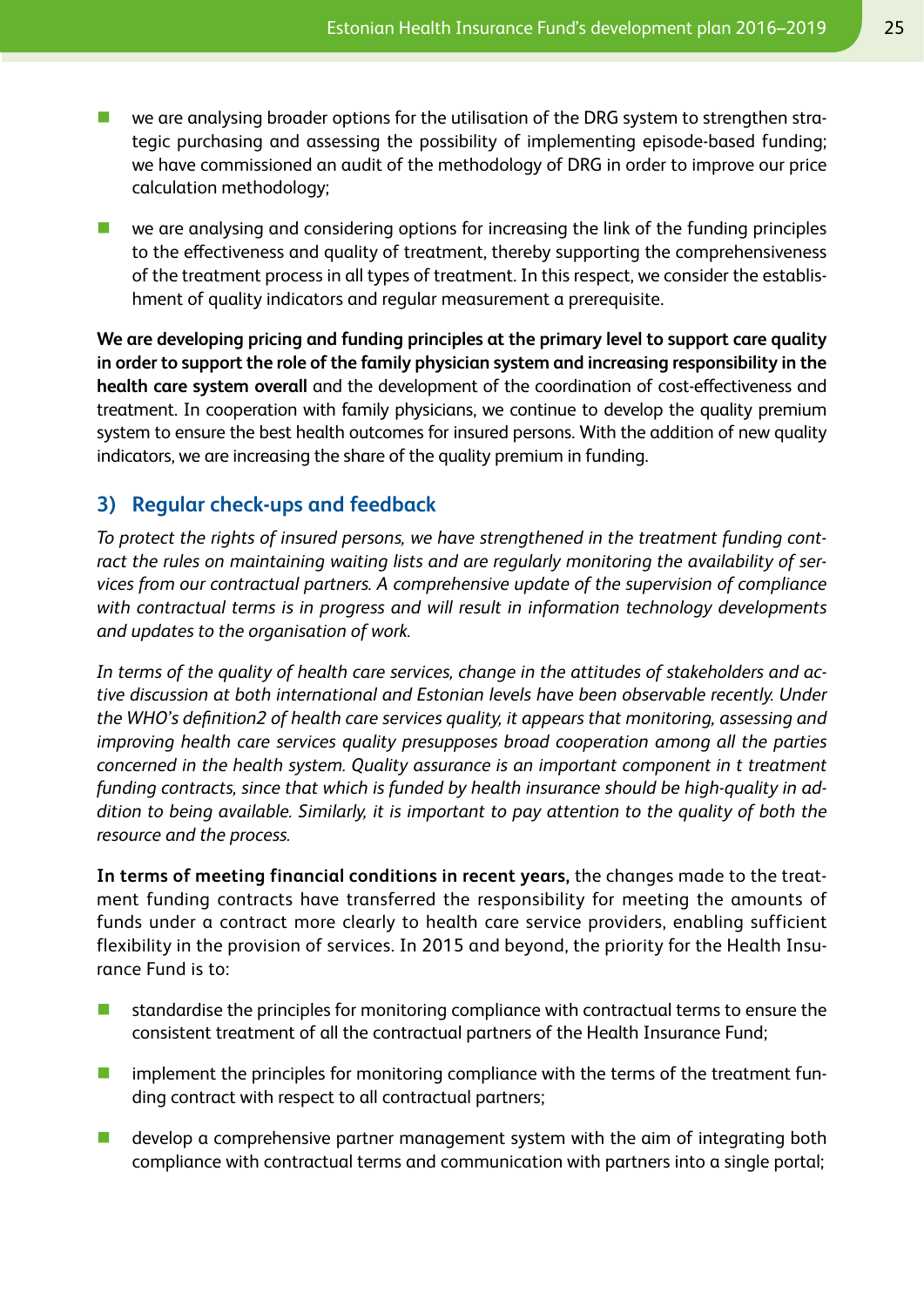- $\blacksquare$  we are analysing broader options for the utilisation of the DRG system to strengthen strategic purchasing and assessing the possibility of implementing episode-based funding; we have commissioned an audit of the methodology of DRG in order to improve our price calculation methodology;
- $\blacksquare$  we are analysing and considering options for increasing the link of the funding principles to the effectiveness and quality of treatment, thereby supporting the comprehensiveness of the treatment process in all types of treatment. In this respect, we consider the establishment of quality indicators and regular measurement a prerequisite.

**We are developing pricing and funding principles at the primary level to support care quality in order to support the role of the family physician system and increasing responsibility in the health care system overall** and the development of the coordination of cost-effectiveness and treatment. In cooperation with family physicians, we continue to develop the quality premium system to ensure the best health outcomes for insured persons. With the addition of new quality indicators, we are increasing the share of the quality premium in funding.

# **3) Regular check-ups and feedback**

*To protect the rights of insured persons, we have strengthened in the treatment funding contract the rules on maintaining waiting lists and are regularly monitoring the availability of services from our contractual partners. A comprehensive update of the supervision of compliance with contractual terms is in progress and will result in information technology developments and updates to the organisation of work.*

*In terms of the quality of health care services, change in the attitudes of stakeholders and active discussion at both international and Estonian levels have been observable recently. Under the WHO's definition2 of health care services quality, it appears that monitoring, assessing and improving health care services quality presupposes broad cooperation among all the parties concerned in the health system. Quality assurance is an important component in t treatment funding contracts, since that which is funded by health insurance should be high-quality in addition to being available. Similarly, it is important to pay attention to the quality of both the resource and the process.*

**In terms of meeting financial conditions in recent years,** the changes made to the treatment funding contracts have transferred the responsibility for meeting the amounts of funds under a contract more clearly to health care service providers, enabling sufficient flexibility in the provision of services. In 2015 and beyond, the priority for the Health Insurance Fund is to:

- $\blacksquare$  standardise the principles for monitoring compliance with contractual terms to ensure the consistent treatment of all the contractual partners of the Health Insurance Fund;
- **n** implement the principles for monitoring compliance with the terms of the treatment funding contract with respect to all contractual partners;
- $\blacksquare$  develop a comprehensive partner management system with the aim of integrating both compliance with contractual terms and communication with partners into a single portal;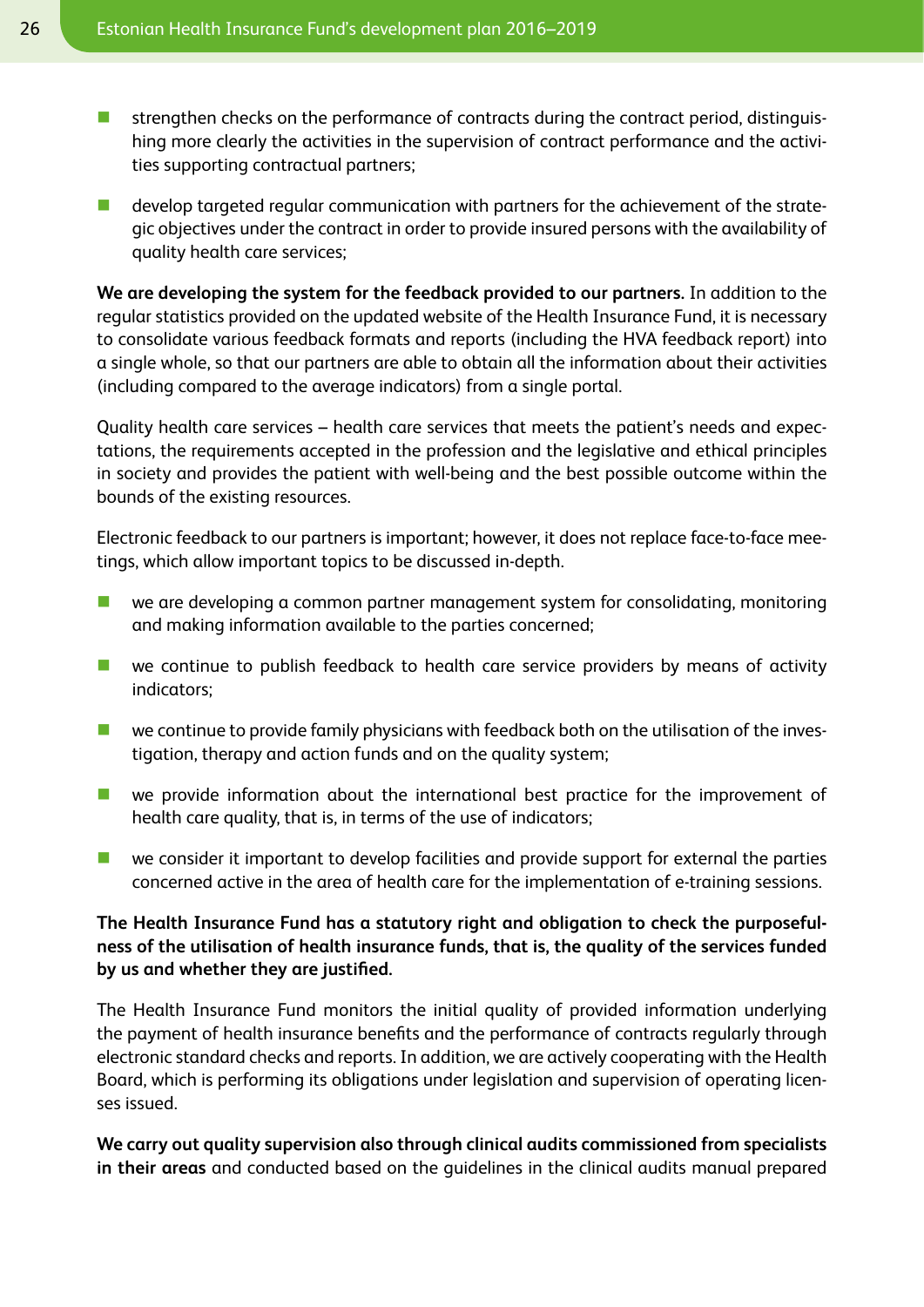- **n** strengthen checks on the performance of contracts during the contract period, distinguishing more clearly the activities in the supervision of contract performance and the activities supporting contractual partners;
- $\blacksquare$  develop targeted regular communication with partners for the achievement of the strategic objectives under the contract in order to provide insured persons with the availability of quality health care services;

**We are developing the system for the feedback provided to our partners.** In addition to the regular statistics provided on the updated website of the Health Insurance Fund, it is necessary to consolidate various feedback formats and reports (including the HVA feedback report) into a single whole, so that our partners are able to obtain all the information about their activities (including compared to the average indicators) from a single portal.

Quality health care services – health care services that meets the patient's needs and expectations, the requirements accepted in the profession and the legislative and ethical principles in society and provides the patient with well-being and the best possible outcome within the bounds of the existing resources.

Electronic feedback to our partners is important; however, it does not replace face-to-face meetings, which allow important topics to be discussed in-depth.

- $\blacksquare$  we are developing a common partner management system for consolidating, monitoring and making information available to the parties concerned;
- $\blacksquare$  we continue to publish feedback to health care service providers by means of activity indicators;
- $\blacksquare$  we continue to provide family physicians with feedback both on the utilisation of the investigation, therapy and action funds and on the quality system;
- $\blacksquare$  we provide information about the international best practice for the improvement of health care quality, that is, in terms of the use of indicators;
- $\blacksquare$  we consider it important to develop facilities and provide support for external the parties concerned active in the area of health care for the implementation of e-training sessions.

### **The Health Insurance Fund has a statutory right and obligation to check the purposefulness of the utilisation of health insurance funds, that is, the quality of the services funded by us and whether they are justified.**

The Health Insurance Fund monitors the initial quality of provided information underlying the payment of health insurance benefits and the performance of contracts regularly through electronic standard checks and reports. In addition, we are actively cooperating with the Health Board, which is performing its obligations under legislation and supervision of operating licenses issued.

**We carry out quality supervision also through clinical audits commissioned from specialists in their areas** and conducted based on the guidelines in the clinical audits manual prepared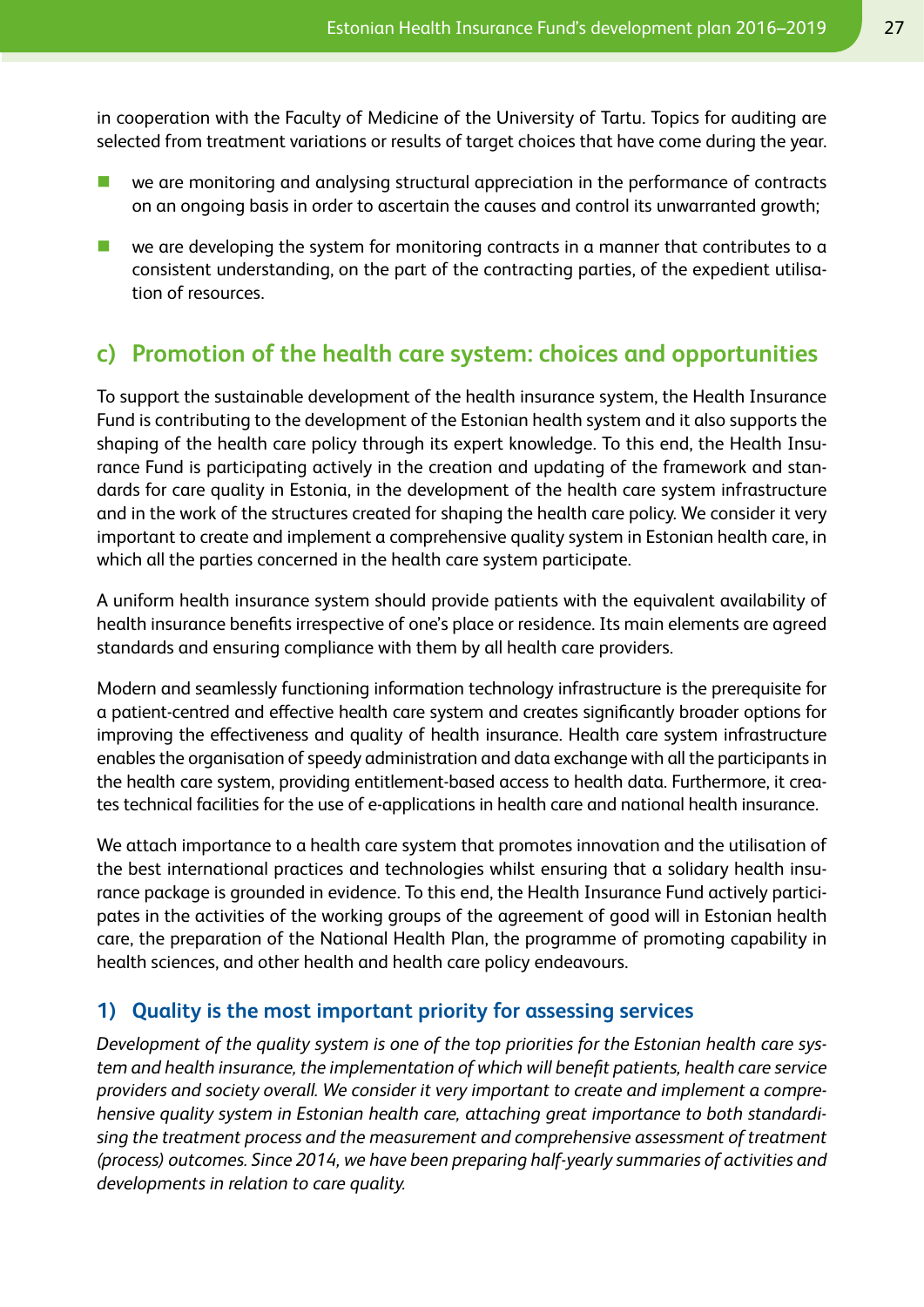in cooperation with the Faculty of Medicine of the University of Tartu. Topics for auditing are selected from treatment variations or results of target choices that have come during the year.

- n we are monitoring and analysing structural appreciation in the performance of contracts on an ongoing basis in order to ascertain the causes and control its unwarranted growth;
- $\blacksquare$  we are developing the system for monitoring contracts in a manner that contributes to a consistent understanding, on the part of the contracting parties, of the expedient utilisation of resources.

# **c) Promotion of the health care system: choices and opportunities**

To support the sustainable development of the health insurance system, the Health Insurance Fund is contributing to the development of the Estonian health system and it also supports the shaping of the health care policy through its expert knowledge. To this end, the Health Insurance Fund is participating actively in the creation and updating of the framework and standards for care quality in Estonia, in the development of the health care system infrastructure and in the work of the structures created for shaping the health care policy. We consider it very important to create and implement a comprehensive quality system in Estonian health care, in which all the parties concerned in the health care system participate.

A uniform health insurance system should provide patients with the equivalent availability of health insurance benefits irrespective of one's place or residence. Its main elements are agreed standards and ensuring compliance with them by all health care providers.

Modern and seamlessly functioning information technology infrastructure is the prerequisite for a patient-centred and effective health care system and creates significantly broader options for improving the effectiveness and quality of health insurance. Health care system infrastructure enables the organisation of speedy administration and data exchange with all the participants in the health care system, providing entitlement-based access to health data. Furthermore, it creates technical facilities for the use of e-applications in health care and national health insurance.

We attach importance to a health care system that promotes innovation and the utilisation of the best international practices and technologies whilst ensuring that a solidary health insurance package is grounded in evidence. To this end, the Health Insurance Fund actively participates in the activities of the working groups of the agreement of good will in Estonian health care, the preparation of the National Health Plan, the programme of promoting capability in health sciences, and other health and health care policy endeavours.

# **1) Quality is the most important priority for assessing services**

*Development of the quality system is one of the top priorities for the Estonian health care system and health insurance, the implementation of which will benefit patients, health care service providers and society overall. We consider it very important to create and implement a comprehensive quality system in Estonian health care, attaching great importance to both standardising the treatment process and the measurement and comprehensive assessment of treatment (process) outcomes. Since 2014, we have been preparing half-yearly summaries of activities and developments in relation to care quality.*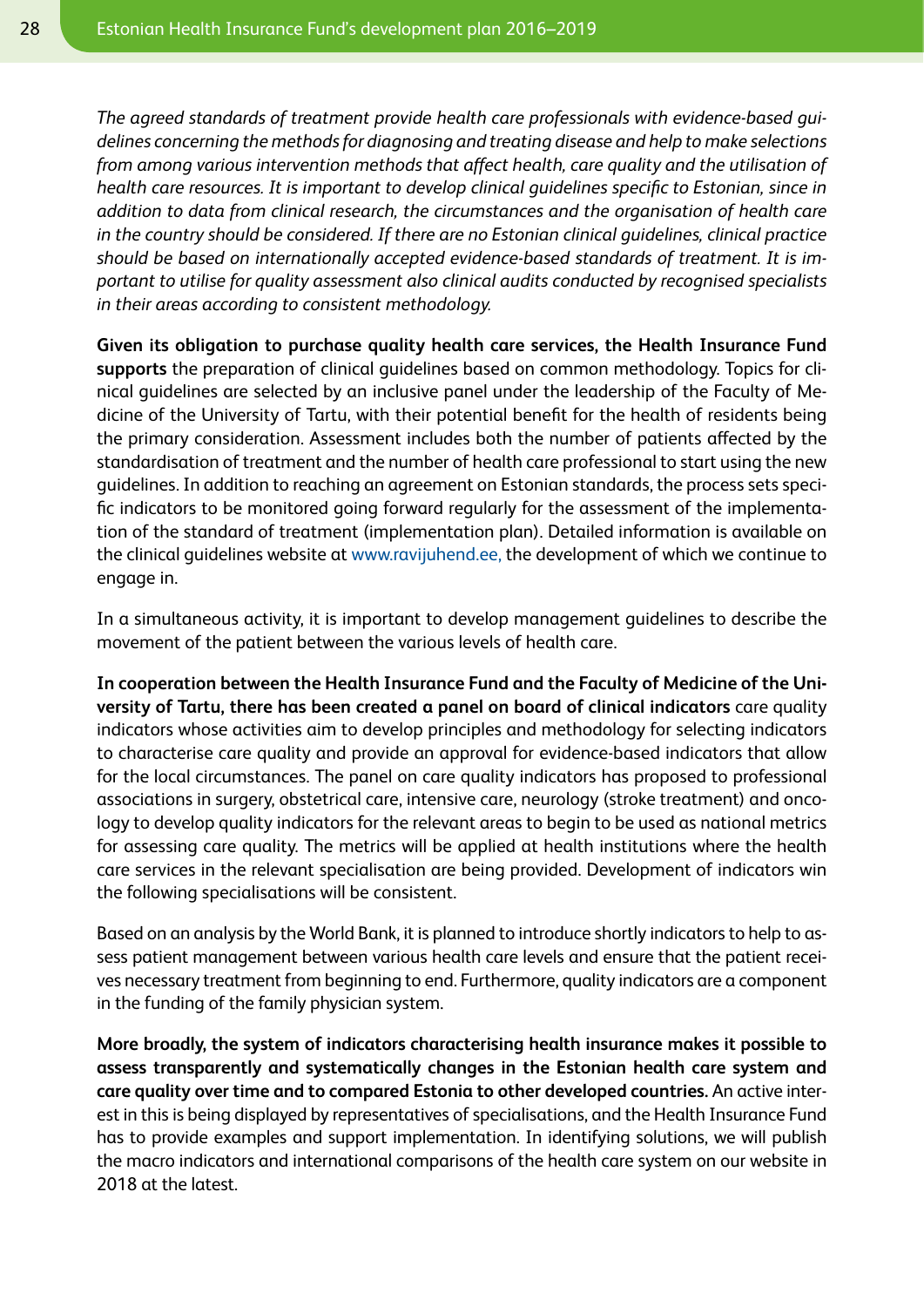*The agreed standards of treatment provide health care professionals with evidence-based guidelines concerning the methods for diagnosing and treating disease and help to make selections from among various intervention methods that affect health, care quality and the utilisation of health care resources. It is important to develop clinical guidelines specific to Estonian, since in addition to data from clinical research, the circumstances and the organisation of health care in the country should be considered. If there are no Estonian clinical guidelines, clinical practice should be based on internationally accepted evidence-based standards of treatment. It is important to utilise for quality assessment also clinical audits conducted by recognised specialists in their areas according to consistent methodology.*

**Given its obligation to purchase quality health care services, the Health Insurance Fund supports** the preparation of clinical guidelines based on common methodology. Topics for clinical guidelines are selected by an inclusive panel under the leadership of the Faculty of Medicine of the University of Tartu, with their potential benefit for the health of residents being the primary consideration. Assessment includes both the number of patients affected by the standardisation of treatment and the number of health care professional to start using the new guidelines. In addition to reaching an agreement on Estonian standards, the process sets specific indicators to be monitored going forward regularly for the assessment of the implementation of the standard of treatment (implementation plan). Detailed information is available on the clinical guidelines website at www.ravijuhend.ee, the development of which we continue to engage in.

In a simultaneous activity, it is important to develop management guidelines to describe the movement of the patient between the various levels of health care.

**In cooperation between the Health Insurance Fund and the Faculty of Medicine of the University of Tartu, there has been created a panel on board of clinical indicators** care quality indicators whose activities aim to develop principles and methodology for selecting indicators to characterise care quality and provide an approval for evidence-based indicators that allow for the local circumstances. The panel on care quality indicators has proposed to professional associations in surgery, obstetrical care, intensive care, neurology (stroke treatment) and oncology to develop quality indicators for the relevant areas to begin to be used as national metrics for assessing care quality. The metrics will be applied at health institutions where the health care services in the relevant specialisation are being provided. Development of indicators win the following specialisations will be consistent.

Based on an analysis by the World Bank, it is planned to introduce shortly indicators to help to assess patient management between various health care levels and ensure that the patient receives necessary treatment from beginning to end. Furthermore, quality indicators are a component in the funding of the family physician system.

**More broadly, the system of indicators characterising health insurance makes it possible to assess transparently and systematically changes in the Estonian health care system and care quality over time and to compared Estonia to other developed countries.** An active interest in this is being displayed by representatives of specialisations, and the Health Insurance Fund has to provide examples and support implementation. In identifying solutions, we will publish the macro indicators and international comparisons of the health care system on our website in 2018 at the latest.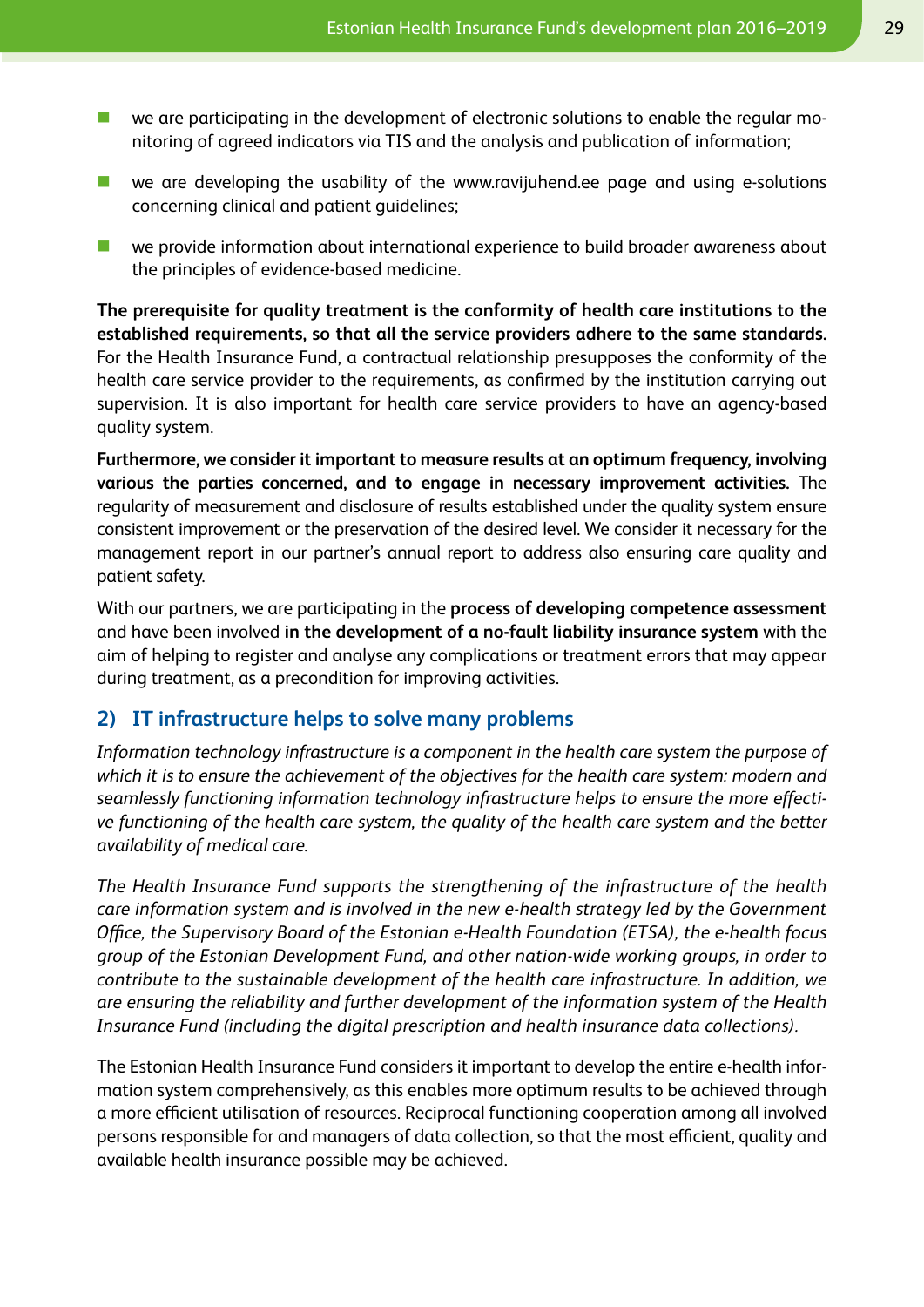- n we are participating in the development of electronic solutions to enable the regular monitoring of agreed indicators via TIS and the analysis and publication of information;
- $\blacksquare$  we are developing the usability of the www.ravijuhend.ee page and using e-solutions concerning clinical and patient guidelines;
- n we provide information about international experience to build broader awareness about the principles of evidence-based medicine.

**The prerequisite for quality treatment is the conformity of health care institutions to the established requirements, so that all the service providers adhere to the same standards.** For the Health Insurance Fund, a contractual relationship presupposes the conformity of the health care service provider to the requirements, as confirmed by the institution carrying out supervision. It is also important for health care service providers to have an agency-based quality system.

**Furthermore, we consider it important to measure results at an optimum frequency, involving various the parties concerned, and to engage in necessary improvement activities.** The regularity of measurement and disclosure of results established under the quality system ensure consistent improvement or the preservation of the desired level. We consider it necessary for the management report in our partner's annual report to address also ensuring care quality and patient safety.

With our partners, we are participating in the **process of developing competence assessment**  and have been involved **in the development of a no-fault liability insurance system** with the aim of helping to register and analyse any complications or treatment errors that may appear during treatment, as a precondition for improving activities.

# **2) IT infrastructure helps to solve many problems**

*Information technology infrastructure is a component in the health care system the purpose of which it is to ensure the achievement of the objectives for the health care system: modern and seamlessly functioning information technology infrastructure helps to ensure the more effective functioning of the health care system, the quality of the health care system and the better availability of medical care.*

*The Health Insurance Fund supports the strengthening of the infrastructure of the health care information system and is involved in the new e-health strategy led by the Government Office, the Supervisory Board of the Estonian e-Health Foundation (ETSA), the e-health focus group of the Estonian Development Fund, and other nation-wide working groups, in order to contribute to the sustainable development of the health care infrastructure. In addition, we are ensuring the reliability and further development of the information system of the Health Insurance Fund (including the digital prescription and health insurance data collections).*

The Estonian Health Insurance Fund considers it important to develop the entire e-health information system comprehensively, as this enables more optimum results to be achieved through a more efficient utilisation of resources. Reciprocal functioning cooperation among all involved persons responsible for and managers of data collection, so that the most efficient, quality and available health insurance possible may be achieved.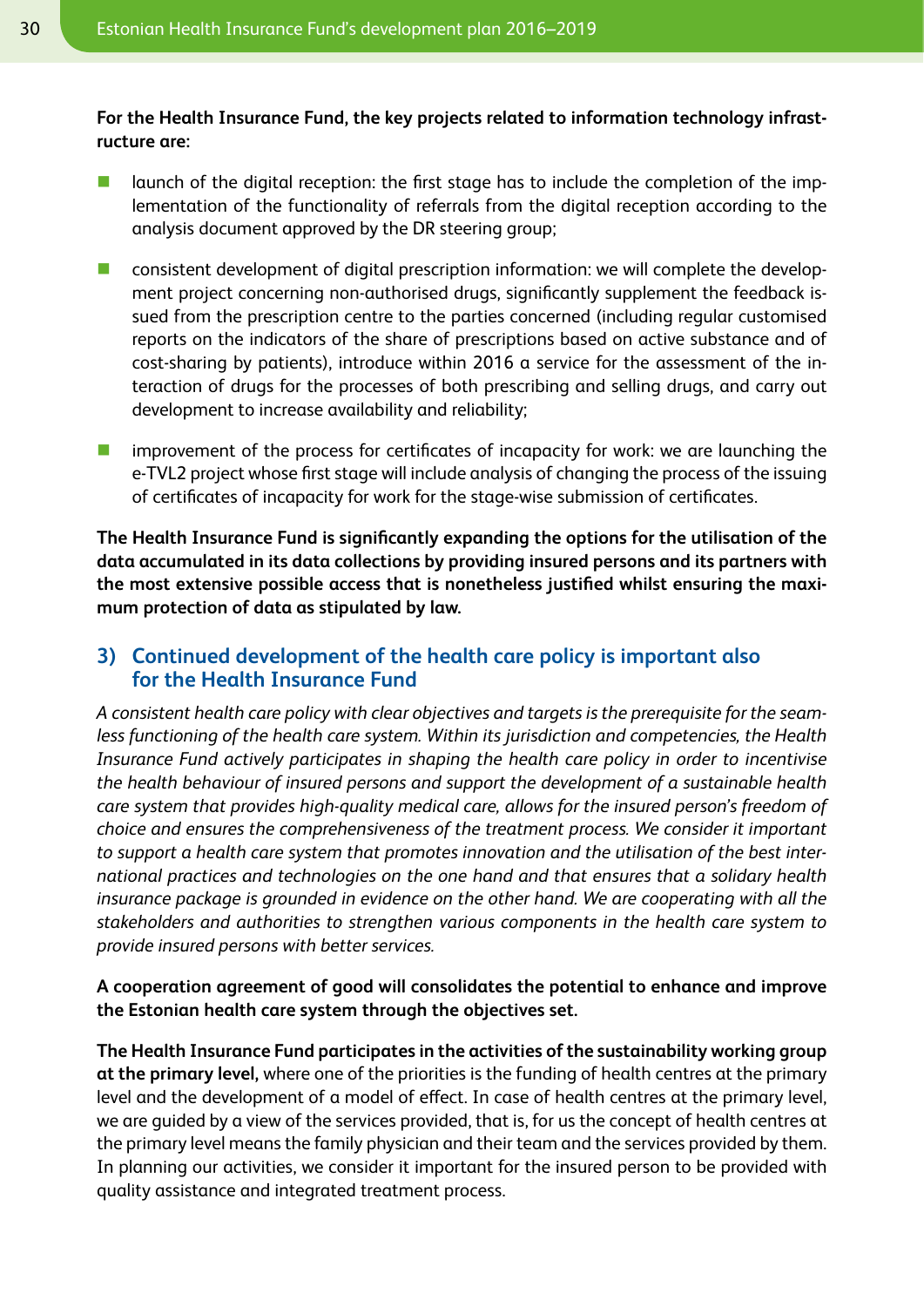**For the Health Insurance Fund, the key projects related to information technology infrastructure are:**

- $\blacksquare$  launch of the digital reception: the first stage has to include the completion of the implementation of the functionality of referrals from the digital reception according to the analysis document approved by the DR steering group;
- $\blacksquare$  consistent development of digital prescription information: we will complete the development project concerning non-authorised drugs, significantly supplement the feedback issued from the prescription centre to the parties concerned (including regular customised reports on the indicators of the share of prescriptions based on active substance and of cost-sharing by patients), introduce within 2016 a service for the assessment of the interaction of drugs for the processes of both prescribing and selling drugs, and carry out development to increase availability and reliability;
- **n** improvement of the process for certificates of incapacity for work: we are launching the e-TVL2 project whose first stage will include analysis of changing the process of the issuing of certificates of incapacity for work for the stage-wise submission of certificates.

**The Health Insurance Fund is significantly expanding the options for the utilisation of the data accumulated in its data collections by providing insured persons and its partners with the most extensive possible access that is nonetheless justified whilst ensuring the maximum protection of data as stipulated by law.**

# **3) Continued development of the health care policy is important also for the Health Insurance Fund**

*A consistent health care policy with clear objectives and targets is the prerequisite for the seamless functioning of the health care system. Within its jurisdiction and competencies, the Health Insurance Fund actively participates in shaping the health care policy in order to incentivise the health behaviour of insured persons and support the development of a sustainable health care system that provides high-quality medical care, allows for the insured person's freedom of choice and ensures the comprehensiveness of the treatment process. We consider it important to support a health care system that promotes innovation and the utilisation of the best international practices and technologies on the one hand and that ensures that a solidary health insurance package is grounded in evidence on the other hand. We are cooperating with all the stakeholders and authorities to strengthen various components in the health care system to provide insured persons with better services.*

### **A cooperation agreement of good will consolidates the potential to enhance and improve the Estonian health care system through the objectives set.**

**The Health Insurance Fund participates in the activities of the sustainability working group at the primary level,** where one of the priorities is the funding of health centres at the primary level and the development of a model of effect. In case of health centres at the primary level, we are guided by a view of the services provided, that is, for us the concept of health centres at the primary level means the family physician and their team and the services provided by them. In planning our activities, we consider it important for the insured person to be provided with quality assistance and integrated treatment process.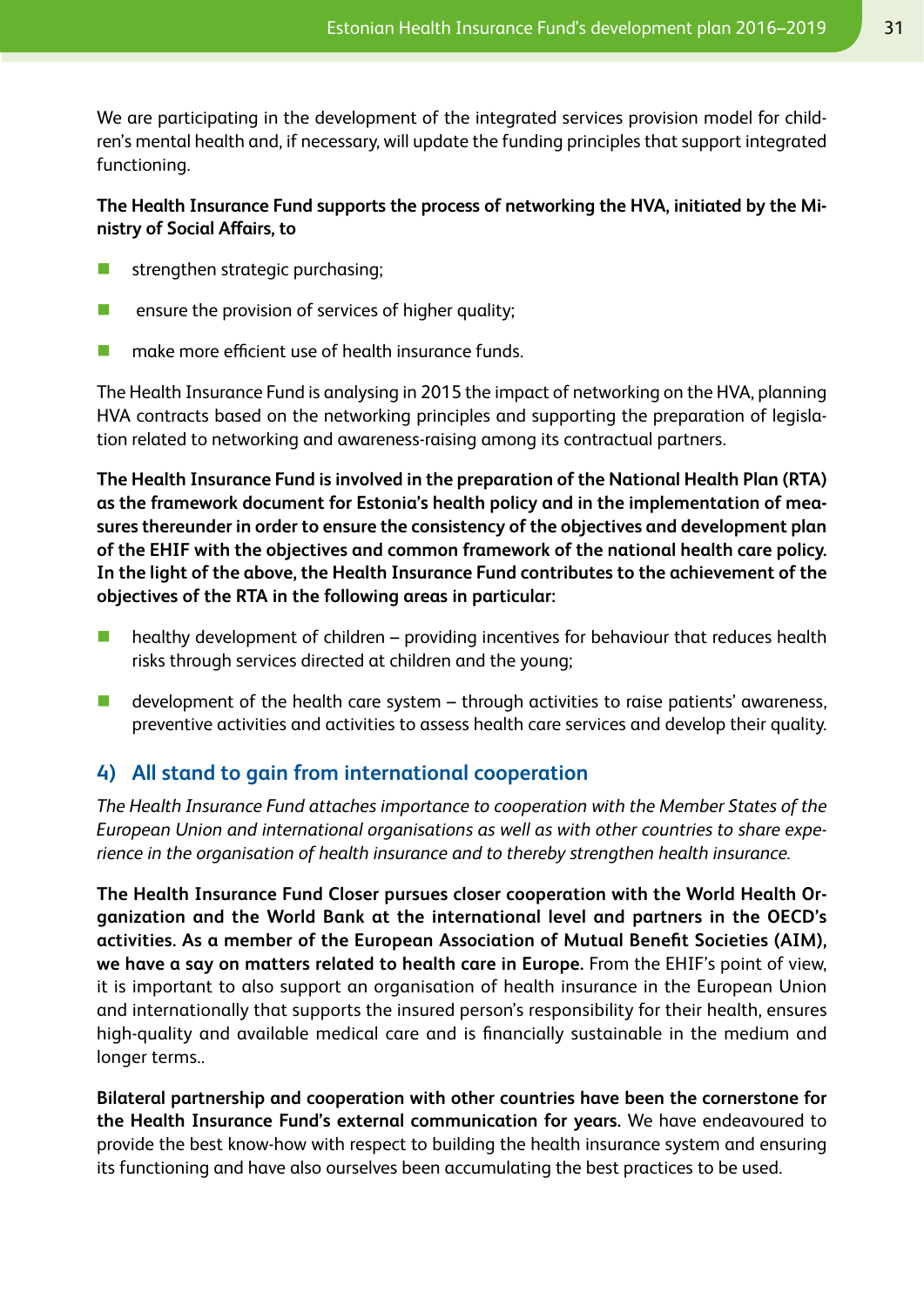We are participating in the development of the integrated services provision model for children's mental health and, if necessary, will update the funding principles that support integrated functioning.

## **The Health Insurance Fund supports the process of networking the HVA, initiated by the Ministry of Social Affairs, to**

- strengthen strategic purchasing;
- **n** ensure the provision of services of higher quality;
- n and make more efficient use of health insurance funds.

The Health Insurance Fund is analysing in 2015 the impact of networking on the HVA, planning HVA contracts based on the networking principles and supporting the preparation of legislation related to networking and awareness-raising among its contractual partners.

**The Health Insurance Fund is involved in the preparation of the National Health Plan (RTA) as the framework document for Estonia's health policy and in the implementation of measures thereunder in order to ensure the consistency of the objectives and development plan of the EHIF with the objectives and common framework of the national health care policy. In the light of the above, the Health Insurance Fund contributes to the achievement of the objectives of the RTA in the following areas in particular:**

- $\blacksquare$  healthy development of children providing incentives for behaviour that reduces health risks through services directed at children and the young;
- $\blacksquare$  development of the health care system through activities to raise patients' awareness, preventive activities and activities to assess health care services and develop their quality.

# **4) All stand to gain from international cooperation**

*The Health Insurance Fund attaches importance to cooperation with the Member States of the European Union and international organisations as well as with other countries to share experience in the organisation of health insurance and to thereby strengthen health insurance.*

**The Health Insurance Fund Closer pursues closer cooperation with the World Health Organization and the World Bank at the international level and partners in the OECD's activities. As a member of the European Association of Mutual Benefit Societies (AIM), we have a say on matters related to health care in Europe.** From the EHIF's point of view, it is important to also support an organisation of health insurance in the European Union and internationally that supports the insured person's responsibility for their health, ensures high-quality and available medical care and is financially sustainable in the medium and longer terms..

**Bilateral partnership and cooperation with other countries have been the cornerstone for the Health Insurance Fund's external communication for years.** We have endeavoured to provide the best know-how with respect to building the health insurance system and ensuring its functioning and have also ourselves been accumulating the best practices to be used.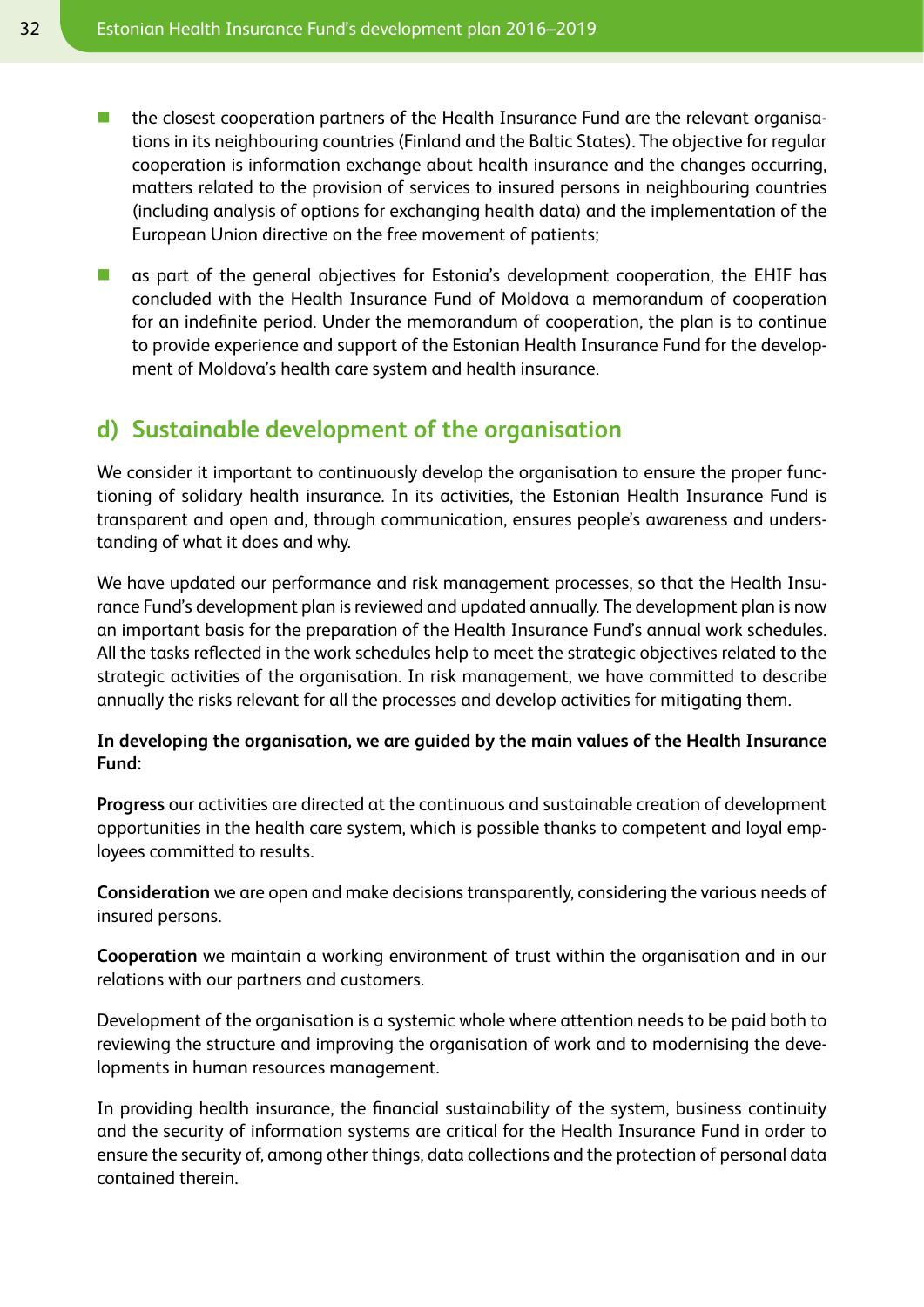- **n** the closest cooperation partners of the Health Insurance Fund are the relevant organisations in its neighbouring countries (Finland and the Baltic States). The objective for regular cooperation is information exchange about health insurance and the changes occurring, matters related to the provision of services to insured persons in neighbouring countries (including analysis of options for exchanging health data) and the implementation of the European Union directive on the free movement of patients;
- **n** as part of the general objectives for Estonia's development cooperation, the EHIF has concluded with the Health Insurance Fund of Moldova a memorandum of cooperation for an indefinite period. Under the memorandum of cooperation, the plan is to continue to provide experience and support of the Estonian Health Insurance Fund for the development of Moldova's health care system and health insurance.

# **d) Sustainable development of the organisation**

We consider it important to continuously develop the organisation to ensure the proper functioning of solidary health insurance. In its activities, the Estonian Health Insurance Fund is transparent and open and, through communication, ensures people's awareness and understanding of what it does and why.

We have updated our performance and risk management processes, so that the Health Insurance Fund's development plan is reviewed and updated annually. The development plan is now an important basis for the preparation of the Health Insurance Fund's annual work schedules. All the tasks reflected in the work schedules help to meet the strategic objectives related to the strategic activities of the organisation. In risk management, we have committed to describe annually the risks relevant for all the processes and develop activities for mitigating them.

### **In developing the organisation, we are guided by the main values of the Health Insurance Fund:**

**Progress** our activities are directed at the continuous and sustainable creation of development opportunities in the health care system, which is possible thanks to competent and loyal employees committed to results.

**Consideration** we are open and make decisions transparently, considering the various needs of insured persons.

**Cooperation** we maintain a working environment of trust within the organisation and in our relations with our partners and customers.

Development of the organisation is a systemic whole where attention needs to be paid both to reviewing the structure and improving the organisation of work and to modernising the developments in human resources management.

In providing health insurance, the financial sustainability of the system, business continuity and the security of information systems are critical for the Health Insurance Fund in order to ensure the security of, among other things, data collections and the protection of personal data contained therein.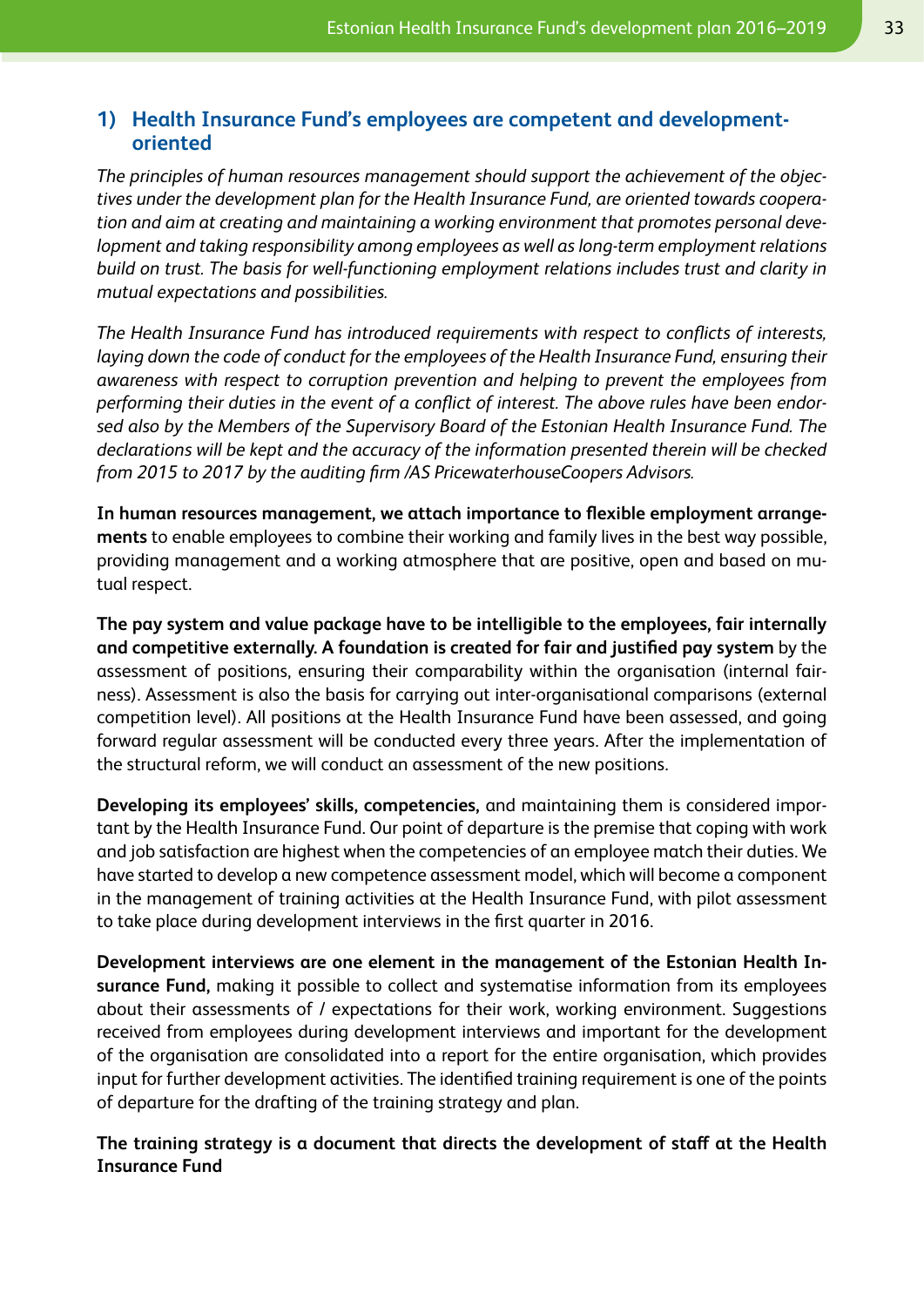## **1) Health Insurance Fund's employees are competent and developmentoriented**

*The principles of human resources management should support the achievement of the objectives under the development plan for the Health Insurance Fund, are oriented towards cooperation and aim at creating and maintaining a working environment that promotes personal development and taking responsibility among employees as well as long-term employment relations build on trust. The basis for well-functioning employment relations includes trust and clarity in mutual expectations and possibilities.*

*The Health Insurance Fund has introduced requirements with respect to conflicts of interests,*  laying down the code of conduct for the employees of the Health Insurance Fund, ensuring their *awareness with respect to corruption prevention and helping to prevent the employees from performing their duties in the event of a conflict of interest. The above rules have been endorsed also by the Members of the Supervisory Board of the Estonian Health Insurance Fund. The declarations will be kept and the accuracy of the information presented therein will be checked from 2015 to 2017 by the auditing firm /AS PricewaterhouseCoopers Advisors.*

**In human resources management, we attach importance to flexible employment arrangements** to enable employees to combine their working and family lives in the best way possible, providing management and a working atmosphere that are positive, open and based on mutual respect.

**The pay system and value package have to be intelligible to the employees, fair internally and competitive externally. A foundation is created for fair and justified pay system** by the assessment of positions, ensuring their comparability within the organisation (internal fairness). Assessment is also the basis for carrying out inter-organisational comparisons (external competition level). All positions at the Health Insurance Fund have been assessed, and going forward regular assessment will be conducted every three years. After the implementation of the structural reform, we will conduct an assessment of the new positions.

**Developing its employees' skills, competencies,** and maintaining them is considered important by the Health Insurance Fund. Our point of departure is the premise that coping with work and job satisfaction are highest when the competencies of an employee match their duties. We have started to develop a new competence assessment model, which will become a component in the management of training activities at the Health Insurance Fund, with pilot assessment to take place during development interviews in the first quarter in 2016.

**Development interviews are one element in the management of the Estonian Health Insurance Fund,** making it possible to collect and systematise information from its employees about their assessments of / expectations for their work, working environment. Suggestions received from employees during development interviews and important for the development of the organisation are consolidated into a report for the entire organisation, which provides input for further development activities. The identified training requirement is one of the points of departure for the drafting of the training strategy and plan.

### **The training strategy is a document that directs the development of staff at the Health Insurance Fund**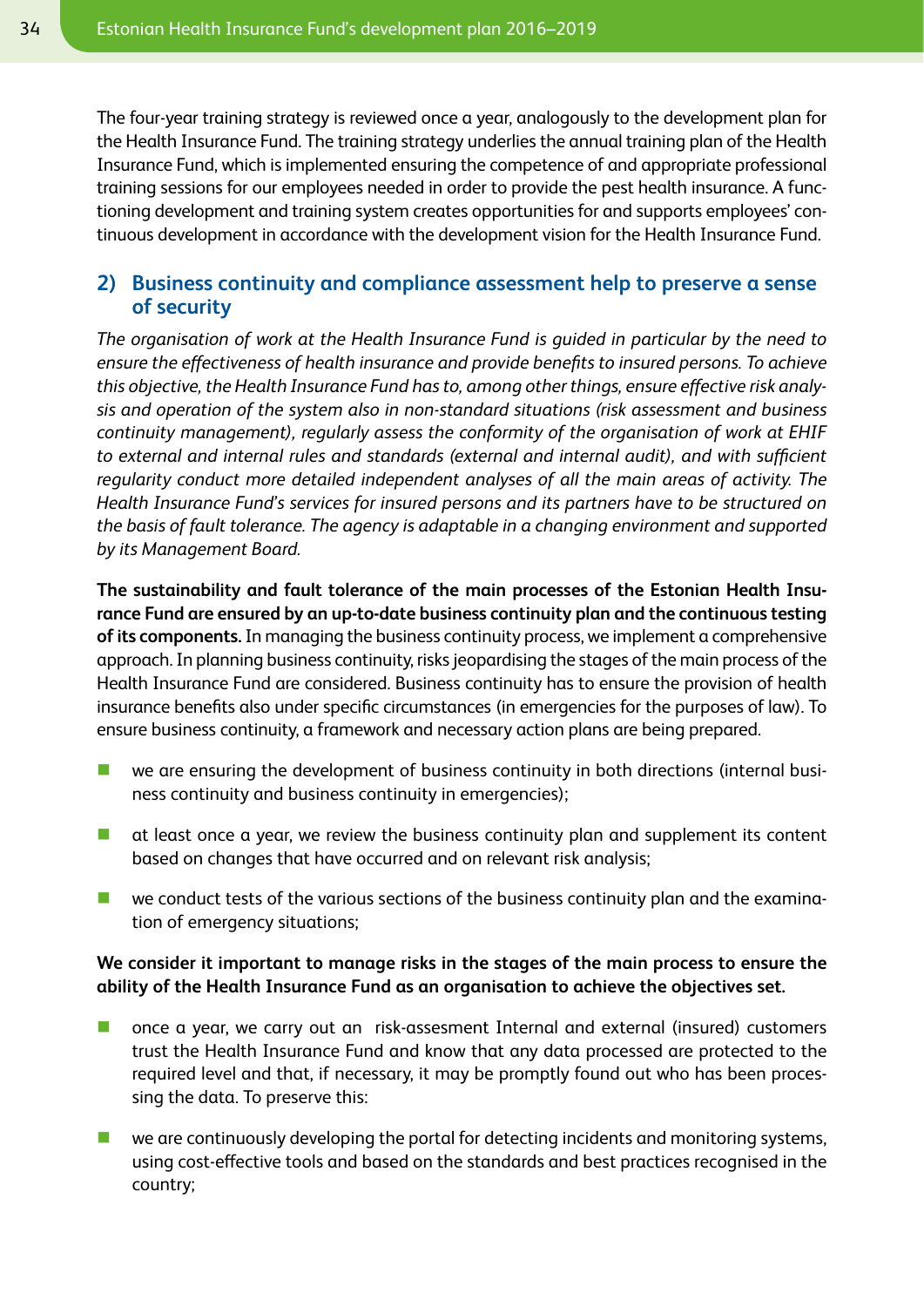The four-year training strategy is reviewed once a year, analogously to the development plan for the Health Insurance Fund. The training strategy underlies the annual training plan of the Health Insurance Fund, which is implemented ensuring the competence of and appropriate professional training sessions for our employees needed in order to provide the pest health insurance. A functioning development and training system creates opportunities for and supports employees' continuous development in accordance with the development vision for the Health Insurance Fund.

## **2) Business continuity and compliance assessment help to preserve a sense of security**

*The organisation of work at the Health Insurance Fund is guided in particular by the need to ensure the effectiveness of health insurance and provide benefits to insured persons. To achieve this objective, the Health Insurance Fund has to, among other things, ensure effective risk analysis and operation of the system also in non-standard situations (risk assessment and business continuity management), regularly assess the conformity of the organisation of work at EHIF to external and internal rules and standards (external and internal audit), and with sufficient regularity conduct more detailed independent analyses of all the main areas of activity. The Health Insurance Fund's services for insured persons and its partners have to be structured on the basis of fault tolerance. The agency is adaptable in a changing environment and supported by its Management Board.*

**The sustainability and fault tolerance of the main processes of the Estonian Health Insurance Fund are ensured by an up-to-date business continuity plan and the continuous testing of its components.** In managing the business continuity process, we implement a comprehensive approach. In planning business continuity, risks jeopardising the stages of the main process of the Health Insurance Fund are considered. Business continuity has to ensure the provision of health insurance benefits also under specific circumstances (in emergencies for the purposes of law). To ensure business continuity, a framework and necessary action plans are being prepared.

- n we are ensuring the development of business continuity in both directions (internal business continuity and business continuity in emergencies);
- $\blacksquare$  at least once a year, we review the business continuity plan and supplement its content based on changes that have occurred and on relevant risk analysis;
- $\blacksquare$  we conduct tests of the various sections of the business continuity plan and the examination of emergency situations;

### **We consider it important to manage risks in the stages of the main process to ensure the ability of the Health Insurance Fund as an organisation to achieve the objectives set.**

- $\blacksquare$  once a year, we carry out an risk-assesment Internal and external (insured) customers trust the Health Insurance Fund and know that any data processed are protected to the required level and that, if necessary, it may be promptly found out who has been processing the data. To preserve this:
- $\blacksquare$  we are continuously developing the portal for detecting incidents and monitoring systems, using cost-effective tools and based on the standards and best practices recognised in the country;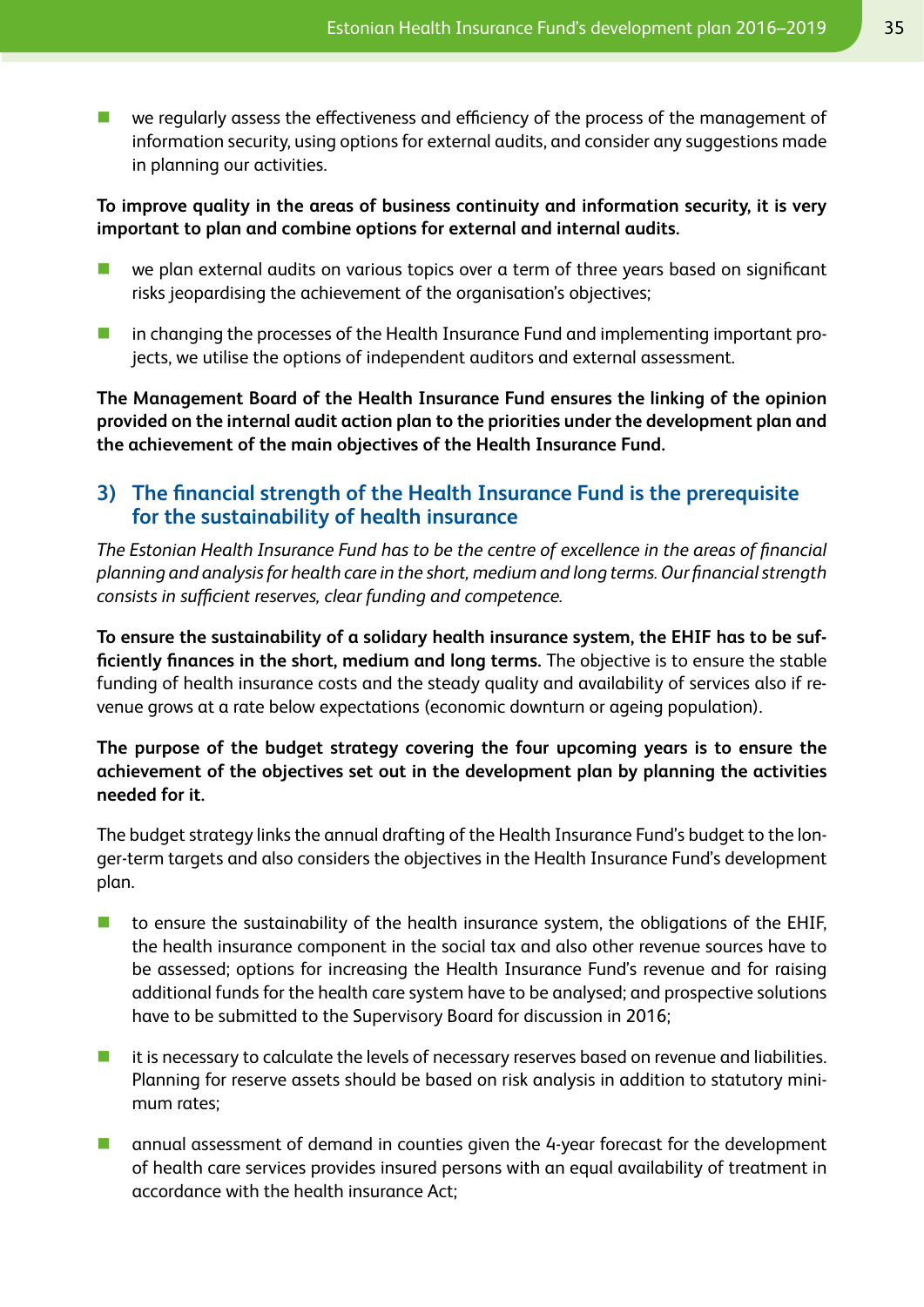$\blacksquare$  we regularly assess the effectiveness and efficiency of the process of the management of information security, using options for external audits, and consider any suggestions made in planning our activities.

### **To improve quality in the areas of business continuity and information security, it is very important to plan and combine options for external and internal audits.**

- we plan external audits on various topics over a term of three years based on significant risks jeopardising the achievement of the organisation's objectives;
- $\blacksquare$  in changing the processes of the Health Insurance Fund and implementing important projects, we utilise the options of independent auditors and external assessment.

**The Management Board of the Health Insurance Fund ensures the linking of the opinion provided on the internal audit action plan to the priorities under the development plan and the achievement of the main objectives of the Health Insurance Fund.**

# **3) The financial strength of the Health Insurance Fund is the prerequisite for the sustainability of health insurance**

*The Estonian Health Insurance Fund has to be the centre of excellence in the areas of financial planning and analysis for health care in the short, medium and long terms. Our financial strength consists in sufficient reserves, clear funding and competence.*

**To ensure the sustainability of a solidary health insurance system, the EHIF has to be sufficiently finances in the short, medium and long terms.** The objective is to ensure the stable funding of health insurance costs and the steady quality and availability of services also if revenue grows at a rate below expectations (economic downturn or ageing population).

**The purpose of the budget strategy covering the four upcoming years is to ensure the achievement of the objectives set out in the development plan by planning the activities needed for it.**

The budget strategy links the annual drafting of the Health Insurance Fund's budget to the longer-term targets and also considers the objectives in the Health Insurance Fund's development plan.

- $\blacksquare$  to ensure the sustainability of the health insurance system, the obligations of the EHIF, the health insurance component in the social tax and also other revenue sources have to be assessed; options for increasing the Health Insurance Fund's revenue and for raising additional funds for the health care system have to be analysed; and prospective solutions have to be submitted to the Supervisory Board for discussion in 2016;
- $\blacksquare$  it is necessary to calculate the levels of necessary reserves based on revenue and liabilities. Planning for reserve assets should be based on risk analysis in addition to statutory minimum rates;
- **n** annual assessment of demand in counties given the 4-year forecast for the development of health care services provides insured persons with an equal availability of treatment in accordance with the health insurance Act;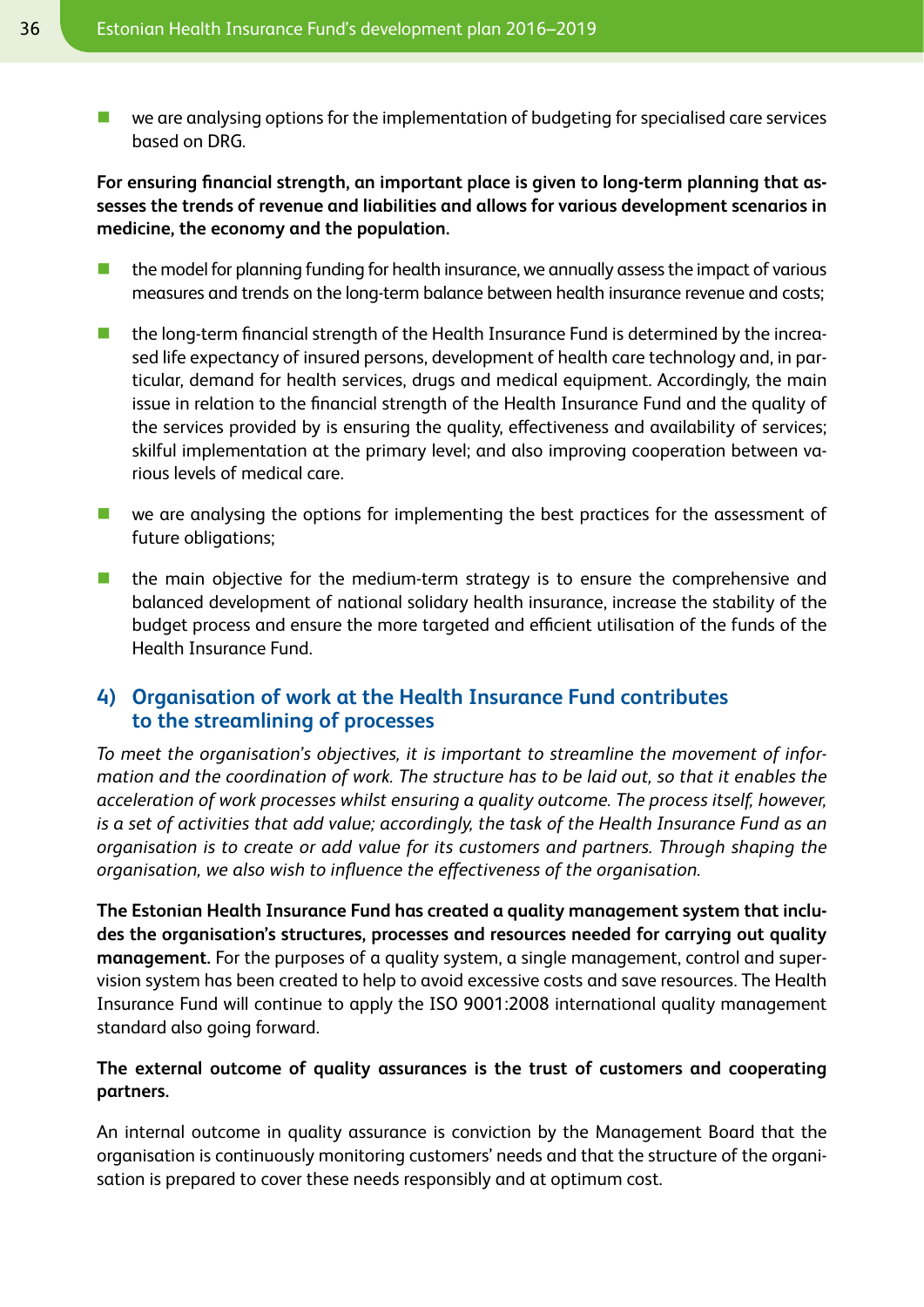$\blacksquare$  we are analysing options for the implementation of budgeting for specialised care services based on DRG.

**For ensuring financial strength, an important place is given to long-term planning that assesses the trends of revenue and liabilities and allows for various development scenarios in medicine, the economy and the population.**

- $\blacksquare$  the model for planning funding for health insurance, we annually assess the impact of various measures and trends on the long-term balance between health insurance revenue and costs;
- $\blacksquare$  the long-term financial strength of the Health Insurance Fund is determined by the increased life expectancy of insured persons, development of health care technology and, in particular, demand for health services, drugs and medical equipment. Accordingly, the main issue in relation to the financial strength of the Health Insurance Fund and the quality of the services provided by is ensuring the quality, effectiveness and availability of services; skilful implementation at the primary level; and also improving cooperation between various levels of medical care.
- $\blacksquare$  we are analysing the options for implementing the best practices for the assessment of future obligations;
- $\blacksquare$  the main objective for the medium-term strategy is to ensure the comprehensive and balanced development of national solidary health insurance, increase the stability of the budget process and ensure the more targeted and efficient utilisation of the funds of the Health Insurance Fund.

## **4) Organisation of work at the Health Insurance Fund contributes to the streamlining of processes**

*To meet the organisation's objectives, it is important to streamline the movement of information and the coordination of work. The structure has to be laid out, so that it enables the acceleration of work processes whilst ensuring a quality outcome. The process itself, however, is a set of activities that add value; accordingly, the task of the Health Insurance Fund as an organisation is to create or add value for its customers and partners. Through shaping the organisation, we also wish to influence the effectiveness of the organisation.*

**The Estonian Health Insurance Fund has created a quality management system that includes the organisation's structures, processes and resources needed for carrying out quality management.** For the purposes of a quality system, a single management, control and supervision system has been created to help to avoid excessive costs and save resources. The Health Insurance Fund will continue to apply the ISO 9001:2008 international quality management standard also going forward.

### **The external outcome of quality assurances is the trust of customers and cooperating partners.**

An internal outcome in quality assurance is conviction by the Management Board that the organisation is continuously monitoring customers' needs and that the structure of the organisation is prepared to cover these needs responsibly and at optimum cost.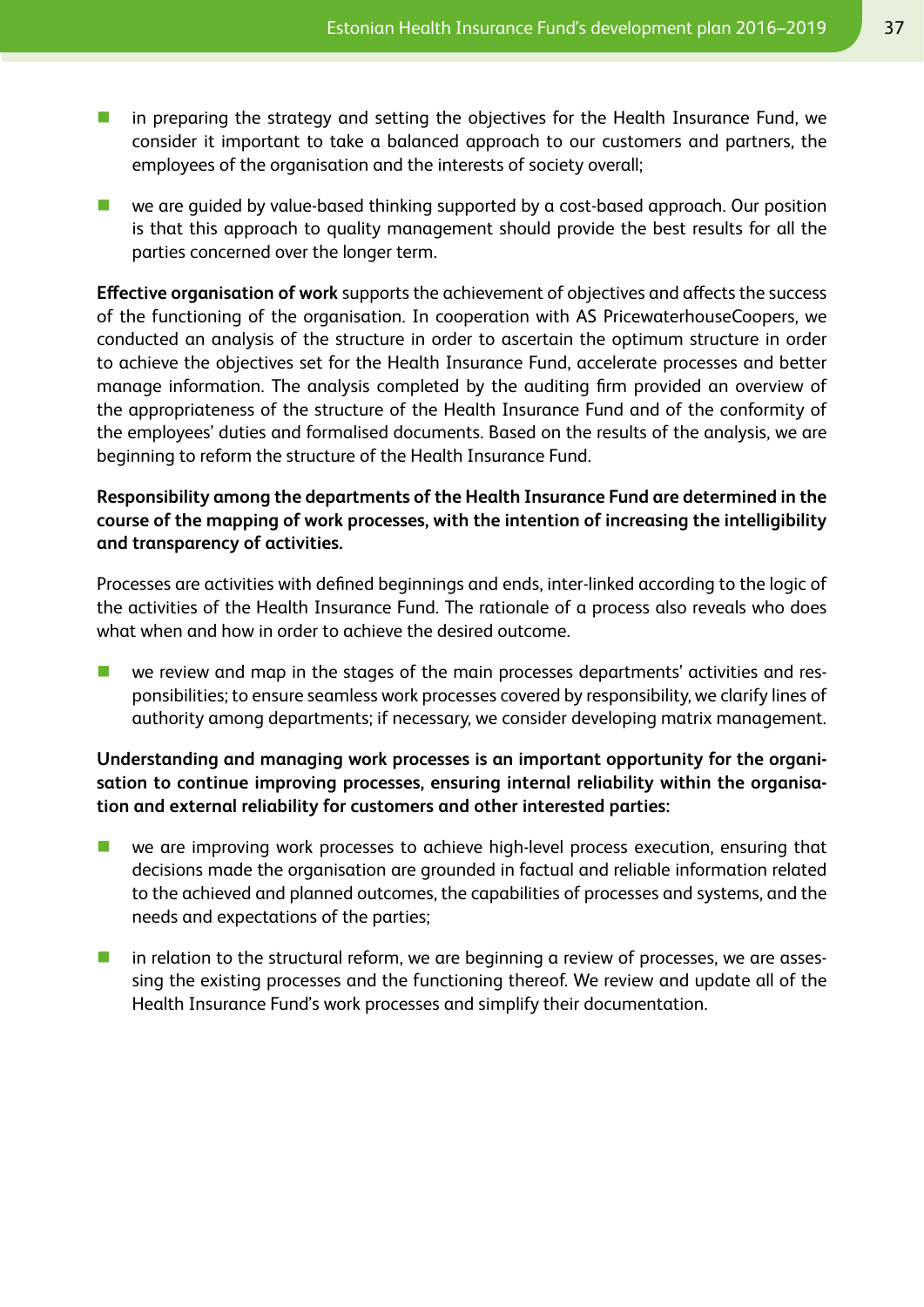- **n** in preparing the strategy and setting the objectives for the Health Insurance Fund, we consider it important to take a balanced approach to our customers and partners, the employees of the organisation and the interests of society overall;
- $\blacksquare$  we are quided by value-based thinking supported by a cost-based approach. Our position is that this approach to quality management should provide the best results for all the parties concerned over the longer term.

**Effective organisation of work** supports the achievement of objectives and affects the success of the functioning of the organisation. In cooperation with AS PricewaterhouseCoopers, we conducted an analysis of the structure in order to ascertain the optimum structure in order to achieve the objectives set for the Health Insurance Fund, accelerate processes and better manage information. The analysis completed by the auditing firm provided an overview of the appropriateness of the structure of the Health Insurance Fund and of the conformity of the employees' duties and formalised documents. Based on the results of the analysis, we are beginning to reform the structure of the Health Insurance Fund.

### **Responsibility among the departments of the Health Insurance Fund are determined in the course of the mapping of work processes, with the intention of increasing the intelligibility and transparency of activities.**

Processes are activities with defined beginnings and ends, inter-linked according to the logic of the activities of the Health Insurance Fund. The rationale of a process also reveals who does what when and how in order to achieve the desired outcome.

n we review and map in the stages of the main processes departments' activities and responsibilities; to ensure seamless work processes covered by responsibility, we clarify lines of authority among departments; if necessary, we consider developing matrix management.

## **Understanding and managing work processes is an important opportunity for the organisation to continue improving processes, ensuring internal reliability within the organisation and external reliability for customers and other interested parties:**

- n we are improving work processes to achieve high-level process execution, ensuring that decisions made the organisation are grounded in factual and reliable information related to the achieved and planned outcomes, the capabilities of processes and systems, and the needs and expectations of the parties;
- $\blacksquare$  in relation to the structural reform, we are beginning a review of processes, we are assessing the existing processes and the functioning thereof. We review and update all of the Health Insurance Fund's work processes and simplify their documentation.